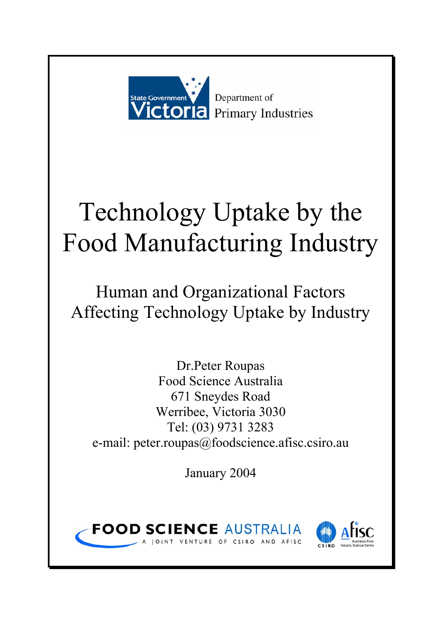

# Technology Uptake by the Food Manufacturing Industry

Human and Organizational Factors Affecting Technology Uptake by Industry

Dr.Peter Roupas Food Science Australia 671 Sneydes Road Werribee, Victoria 3030 Tel: (03) 9731 3283 e-mail: peter.roupas@foodscience.afisc.csiro.au

January 2004



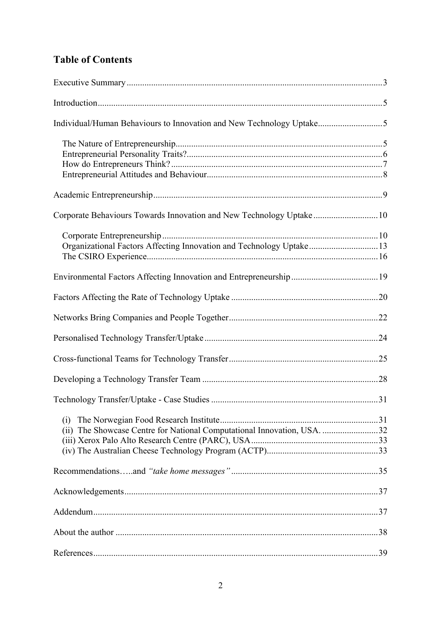# **Table of Contents**

| Individual/Human Behaviours to Innovation and New Technology Uptake5    |  |
|-------------------------------------------------------------------------|--|
|                                                                         |  |
|                                                                         |  |
|                                                                         |  |
|                                                                         |  |
|                                                                         |  |
| Corporate Behaviours Towards Innovation and New Technology Uptake10     |  |
|                                                                         |  |
| Organizational Factors Affecting Innovation and Technology Uptake13     |  |
|                                                                         |  |
|                                                                         |  |
|                                                                         |  |
|                                                                         |  |
|                                                                         |  |
|                                                                         |  |
|                                                                         |  |
|                                                                         |  |
|                                                                         |  |
| (i)                                                                     |  |
| (ii) The Showcase Centre for National Computational Innovation, USA. 32 |  |
|                                                                         |  |
|                                                                         |  |
|                                                                         |  |
|                                                                         |  |
|                                                                         |  |
|                                                                         |  |
|                                                                         |  |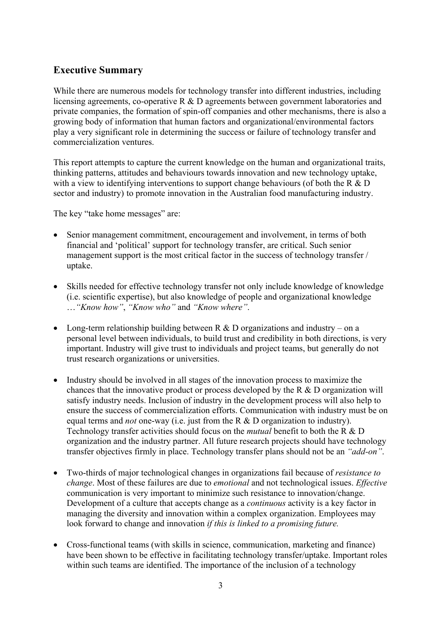## <span id="page-2-0"></span>**Executive Summary**

While there are numerous models for technology transfer into different industries, including licensing agreements, co-operative R & D agreements between government laboratories and private companies, the formation of spin-off companies and other mechanisms, there is also a growing body of information that human factors and organizational/environmental factors play a very significant role in determining the success or failure of technology transfer and commercialization ventures.

This report attempts to capture the current knowledge on the human and organizational traits, thinking patterns, attitudes and behaviours towards innovation and new technology uptake, with a view to identifying interventions to support change behaviours (of both the R & D sector and industry) to promote innovation in the Australian food manufacturing industry.

The key "take home messages" are:

- Senior management commitment, encouragement and involvement, in terms of both financial and 'political' support for technology transfer, are critical. Such senior management support is the most critical factor in the success of technology transfer / uptake.
- Skills needed for effective technology transfer not only include knowledge of knowledge (i.e. scientific expertise), but also knowledge of people and organizational knowledge …*"Know how"*, *"Know who"* and *"Know where"*.
- Long-term relationship building between R & D organizations and industry on a personal level between individuals, to build trust and credibility in both directions, is very important. Industry will give trust to individuals and project teams, but generally do not trust research organizations or universities.
- Industry should be involved in all stages of the innovation process to maximize the chances that the innovative product or process developed by the R & D organization will satisfy industry needs. Inclusion of industry in the development process will also help to ensure the success of commercialization efforts. Communication with industry must be on equal terms and *not* one-way (i.e. just from the R & D organization to industry). Technology transfer activities should focus on the *mutual* benefit to both the R & D organization and the industry partner. All future research projects should have technology transfer objectives firmly in place. Technology transfer plans should not be an *"add-on"*.
- Two-thirds of major technological changes in organizations fail because of *resistance to change*. Most of these failures are due to *emotional* and not technological issues. *Effective* communication is very important to minimize such resistance to innovation/change. Development of a culture that accepts change as a *continuous* activity is a key factor in managing the diversity and innovation within a complex organization. Employees may look forward to change and innovation *if this is linked to a promising future.*
- Cross-functional teams (with skills in science, communication, marketing and finance) have been shown to be effective in facilitating technology transfer/uptake. Important roles within such teams are identified. The importance of the inclusion of a technology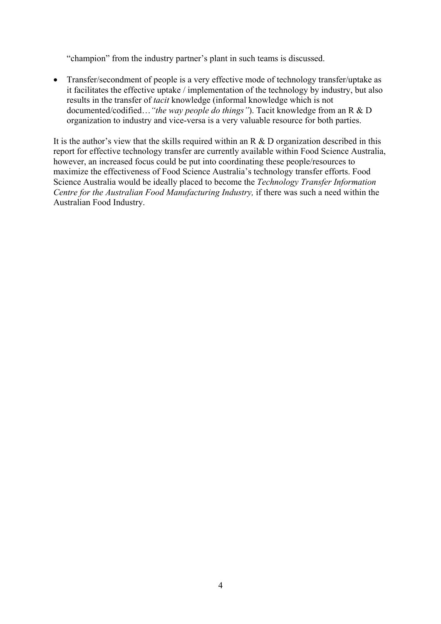"champion" from the industry partner's plant in such teams is discussed.

• Transfer/secondment of people is a very effective mode of technology transfer/uptake as it facilitates the effective uptake / implementation of the technology by industry, but also results in the transfer of *tacit* knowledge (informal knowledge which is not documented/codified…*"the way people do things"*). Tacit knowledge from an R & D organization to industry and vice-versa is a very valuable resource for both parties.

It is the author's view that the skills required within an  $R \& D$  organization described in this report for effective technology transfer are currently available within Food Science Australia, however, an increased focus could be put into coordinating these people/resources to maximize the effectiveness of Food Science Australia's technology transfer efforts. Food Science Australia would be ideally placed to become the *Technology Transfer Information Centre for the Australian Food Manufacturing Industry,* if there was such a need within the Australian Food Industry.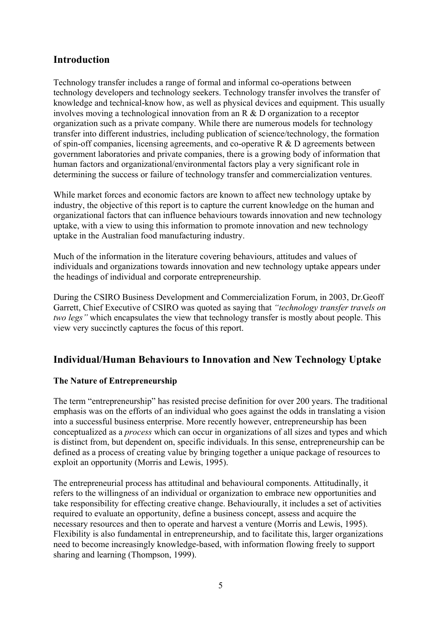# <span id="page-4-0"></span>**Introduction**

Technology transfer includes a range of formal and informal co-operations between technology developers and technology seekers. Technology transfer involves the transfer of knowledge and technical-know how, as well as physical devices and equipment. This usually involves moving a technological innovation from an R & D organization to a receptor organization such as a private company. While there are numerous models for technology transfer into different industries, including publication of science/technology, the formation of spin-off companies, licensing agreements, and co-operative R & D agreements between government laboratories and private companies, there is a growing body of information that human factors and organizational/environmental factors play a very significant role in determining the success or failure of technology transfer and commercialization ventures.

While market forces and economic factors are known to affect new technology uptake by industry, the objective of this report is to capture the current knowledge on the human and organizational factors that can influence behaviours towards innovation and new technology uptake, with a view to using this information to promote innovation and new technology uptake in the Australian food manufacturing industry.

Much of the information in the literature covering behaviours, attitudes and values of individuals and organizations towards innovation and new technology uptake appears under the headings of individual and corporate entrepreneurship.

During the CSIRO Business Development and Commercialization Forum, in 2003, Dr.Geoff Garrett, Chief Executive of CSIRO was quoted as saying that *"technology transfer travels on two legs*" which encapsulates the view that technology transfer is mostly about people. This view very succinctly captures the focus of this report.

# **Individual/Human Behaviours to Innovation and New Technology Uptake**

## **The Nature of Entrepreneurship**

The term "entrepreneurship" has resisted precise definition for over 200 years. The traditional emphasis was on the efforts of an individual who goes against the odds in translating a vision into a successful business enterprise. More recently however, entrepreneurship has been conceptualized as a *process* which can occur in organizations of all sizes and types and which is distinct from, but dependent on, specific individuals. In this sense, entrepreneurship can be defined as a process of creating value by bringing together a unique package of resources to exploit an opportunity (Morris and Lewis, 1995).

The entrepreneurial process has attitudinal and behavioural components. Attitudinally, it refers to the willingness of an individual or organization to embrace new opportunities and take responsibility for effecting creative change. Behaviourally, it includes a set of activities required to evaluate an opportunity, define a business concept, assess and acquire the necessary resources and then to operate and harvest a venture (Morris and Lewis, 1995). Flexibility is also fundamental in entrepreneurship, and to facilitate this, larger organizations need to become increasingly knowledge-based, with information flowing freely to support sharing and learning (Thompson, 1999).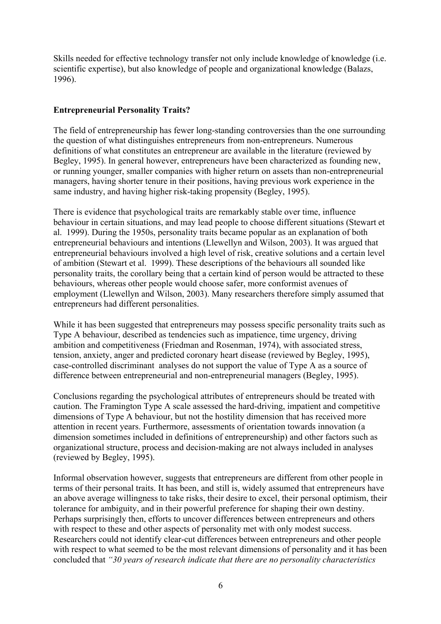<span id="page-5-0"></span>Skills needed for effective technology transfer not only include knowledge of knowledge (i.e. scientific expertise), but also knowledge of people and organizational knowledge (Balazs, 1996).

#### **Entrepreneurial Personality Traits?**

The field of entrepreneurship has fewer long-standing controversies than the one surrounding the question of what distinguishes entrepreneurs from non-entrepreneurs. Numerous definitions of what constitutes an entrepreneur are available in the literature (reviewed by Begley, 1995). In general however, entrepreneurs have been characterized as founding new, or running younger, smaller companies with higher return on assets than non-entrepreneurial managers, having shorter tenure in their positions, having previous work experience in the same industry, and having higher risk-taking propensity (Begley, 1995).

There is evidence that psychological traits are remarkably stable over time, influence behaviour in certain situations, and may lead people to choose different situations (Stewart et al. 1999). During the 1950s, personality traits became popular as an explanation of both entrepreneurial behaviours and intentions (Llewellyn and Wilson, 2003). It was argued that entrepreneurial behaviours involved a high level of risk, creative solutions and a certain level of ambition (Stewart et al. 1999). These descriptions of the behaviours all sounded like personality traits, the corollary being that a certain kind of person would be attracted to these behaviours, whereas other people would choose safer, more conformist avenues of employment (Llewellyn and Wilson, 2003). Many researchers therefore simply assumed that entrepreneurs had different personalities.

While it has been suggested that entrepreneurs may possess specific personality traits such as Type A behaviour, described as tendencies such as impatience, time urgency, driving ambition and competitiveness (Friedman and Rosenman, 1974), with associated stress, tension, anxiety, anger and predicted coronary heart disease (reviewed by Begley, 1995), case-controlled discriminant analyses do not support the value of Type A as a source of difference between entrepreneurial and non-entrepreneurial managers (Begley, 1995).

Conclusions regarding the psychological attributes of entrepreneurs should be treated with caution. The Framington Type A scale assessed the hard-driving, impatient and competitive dimensions of Type A behaviour, but not the hostility dimension that has received more attention in recent years. Furthermore, assessments of orientation towards innovation (a dimension sometimes included in definitions of entrepreneurship) and other factors such as organizational structure, process and decision-making are not always included in analyses (reviewed by Begley, 1995).

Informal observation however, suggests that entrepreneurs are different from other people in terms of their personal traits. It has been, and still is, widely assumed that entrepreneurs have an above average willingness to take risks, their desire to excel, their personal optimism, their tolerance for ambiguity, and in their powerful preference for shaping their own destiny. Perhaps surprisingly then, efforts to uncover differences between entrepreneurs and others with respect to these and other aspects of personality met with only modest success. Researchers could not identify clear-cut differences between entrepreneurs and other people with respect to what seemed to be the most relevant dimensions of personality and it has been concluded that *"30 years of research indicate that there are no personality characteristics*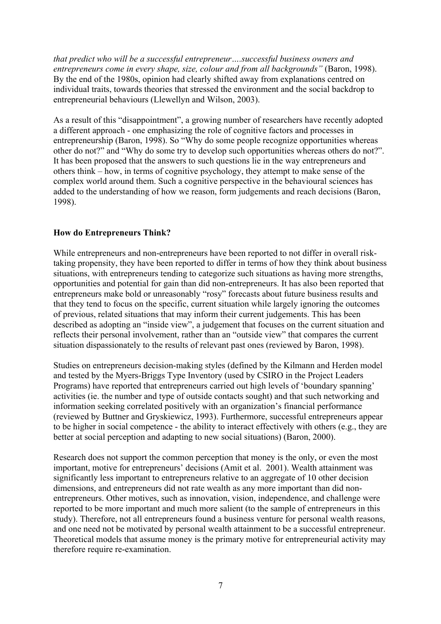<span id="page-6-0"></span>*that predict who will be a successful entrepreneur….successful business owners and entrepreneurs come in every shape, size, colour and from all backgrounds"* (Baron, 1998). By the end of the 1980s, opinion had clearly shifted away from explanations centred on individual traits, towards theories that stressed the environment and the social backdrop to entrepreneurial behaviours (Llewellyn and Wilson, 2003).

As a result of this "disappointment", a growing number of researchers have recently adopted a different approach - one emphasizing the role of cognitive factors and processes in entrepreneurship (Baron, 1998). So "Why do some people recognize opportunities whereas other do not?" and "Why do some try to develop such opportunities whereas others do not?". It has been proposed that the answers to such questions lie in the way entrepreneurs and others think – how, in terms of cognitive psychology, they attempt to make sense of the complex world around them. Such a cognitive perspective in the behavioural sciences has added to the understanding of how we reason, form judgements and reach decisions (Baron, 1998).

#### **How do Entrepreneurs Think?**

While entrepreneurs and non-entrepreneurs have been reported to not differ in overall risktaking propensity, they have been reported to differ in terms of how they think about business situations, with entrepreneurs tending to categorize such situations as having more strengths, opportunities and potential for gain than did non-entrepreneurs. It has also been reported that entrepreneurs make bold or unreasonably "rosy" forecasts about future business results and that they tend to focus on the specific, current situation while largely ignoring the outcomes of previous, related situations that may inform their current judgements. This has been described as adopting an "inside view", a judgement that focuses on the current situation and reflects their personal involvement, rather than an "outside view" that compares the current situation dispassionately to the results of relevant past ones (reviewed by Baron, 1998).

Studies on entrepreneurs decision-making styles (defined by the Kilmann and Herden model and tested by the Myers-Briggs Type Inventory (used by CSIRO in the Project Leaders Programs) have reported that entrepreneurs carried out high levels of 'boundary spanning' activities (ie. the number and type of outside contacts sought) and that such networking and information seeking correlated positively with an organization's financial performance (reviewed by Buttner and Gryskiewicz, 1993). Furthermore, successful entrepreneurs appear to be higher in social competence - the ability to interact effectively with others (e.g., they are better at social perception and adapting to new social situations) (Baron, 2000).

Research does not support the common perception that money is the only, or even the most important, motive for entrepreneurs' decisions (Amit et al. 2001). Wealth attainment was significantly less important to entrepreneurs relative to an aggregate of 10 other decision dimensions, and entrepreneurs did not rate wealth as any more important than did nonentrepreneurs. Other motives, such as innovation, vision, independence, and challenge were reported to be more important and much more salient (to the sample of entrepreneurs in this study). Therefore, not all entrepreneurs found a business venture for personal wealth reasons, and one need not be motivated by personal wealth attainment to be a successful entrepreneur. Theoretical models that assume money is the primary motive for entrepreneurial activity may therefore require re-examination.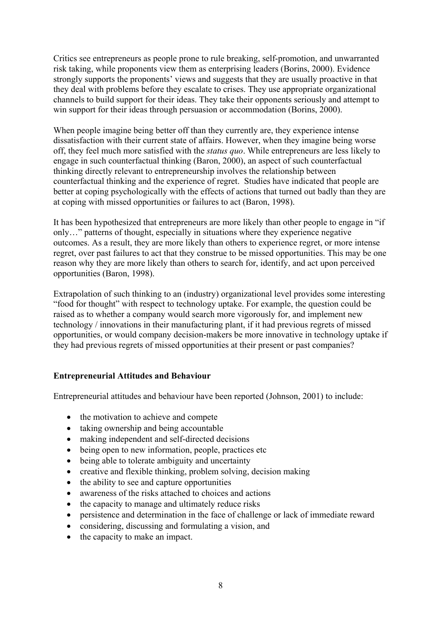<span id="page-7-0"></span>Critics see entrepreneurs as people prone to rule breaking, self-promotion, and unwarranted risk taking, while proponents view them as enterprising leaders (Borins, 2000). Evidence strongly supports the proponents' views and suggests that they are usually proactive in that they deal with problems before they escalate to crises. They use appropriate organizational channels to build support for their ideas. They take their opponents seriously and attempt to win support for their ideas through persuasion or accommodation (Borins, 2000).

When people imagine being better off than they currently are, they experience intense dissatisfaction with their current state of affairs. However, when they imagine being worse off, they feel much more satisfied with the *status quo*. While entrepreneurs are less likely to engage in such counterfactual thinking (Baron, 2000), an aspect of such counterfactual thinking directly relevant to entrepreneurship involves the relationship between counterfactual thinking and the experience of regret. Studies have indicated that people are better at coping psychologically with the effects of actions that turned out badly than they are at coping with missed opportunities or failures to act (Baron, 1998).

It has been hypothesized that entrepreneurs are more likely than other people to engage in "if only…" patterns of thought, especially in situations where they experience negative outcomes. As a result, they are more likely than others to experience regret, or more intense regret, over past failures to act that they construe to be missed opportunities. This may be one reason why they are more likely than others to search for, identify, and act upon perceived opportunities (Baron, 1998).

Extrapolation of such thinking to an (industry) organizational level provides some interesting "food for thought" with respect to technology uptake. For example, the question could be raised as to whether a company would search more vigorously for, and implement new technology / innovations in their manufacturing plant, if it had previous regrets of missed opportunities, or would company decision-makers be more innovative in technology uptake if they had previous regrets of missed opportunities at their present or past companies?

#### **Entrepreneurial Attitudes and Behaviour**

Entrepreneurial attitudes and behaviour have been reported (Johnson, 2001) to include:

- the motivation to achieve and compete
- taking ownership and being accountable
- making independent and self-directed decisions
- being open to new information, people, practices etc
- being able to tolerate ambiguity and uncertainty
- creative and flexible thinking, problem solving, decision making
- the ability to see and capture opportunities
- awareness of the risks attached to choices and actions
- the capacity to manage and ultimately reduce risks
- persistence and determination in the face of challenge or lack of immediate reward
- considering, discussing and formulating a vision, and
- the capacity to make an impact.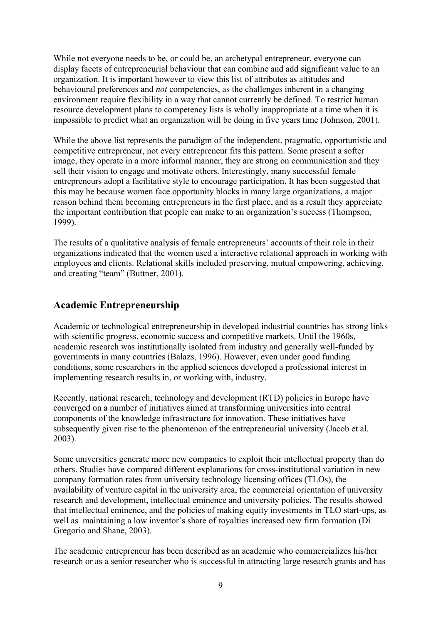<span id="page-8-0"></span>While not everyone needs to be, or could be, an archetypal entrepreneur, everyone can display facets of entrepreneurial behaviour that can combine and add significant value to an organization. It is important however to view this list of attributes as attitudes and behavioural preferences and *not* competencies, as the challenges inherent in a changing environment require flexibility in a way that cannot currently be defined. To restrict human resource development plans to competency lists is wholly inappropriate at a time when it is impossible to predict what an organization will be doing in five years time (Johnson, 2001).

While the above list represents the paradigm of the independent, pragmatic, opportunistic and competitive entrepreneur, not every entrepreneur fits this pattern. Some present a softer image, they operate in a more informal manner, they are strong on communication and they sell their vision to engage and motivate others. Interestingly, many successful female entrepreneurs adopt a facilitative style to encourage participation. It has been suggested that this may be because women face opportunity blocks in many large organizations, a major reason behind them becoming entrepreneurs in the first place, and as a result they appreciate the important contribution that people can make to an organization's success (Thompson, 1999).

The results of a qualitative analysis of female entrepreneurs' accounts of their role in their organizations indicated that the women used a interactive relational approach in working with employees and clients. Relational skills included preserving, mutual empowering, achieving, and creating "team" (Buttner, 2001).

# **Academic Entrepreneurship**

Academic or technological entrepreneurship in developed industrial countries has strong links with scientific progress, economic success and competitive markets. Until the 1960s, academic research was institutionally isolated from industry and generally well-funded by governments in many countries (Balazs, 1996). However, even under good funding conditions, some researchers in the applied sciences developed a professional interest in implementing research results in, or working with, industry.

Recently, national research, technology and development (RTD) policies in Europe have converged on a number of initiatives aimed at transforming universities into central components of the knowledge infrastructure for innovation. These initiatives have subsequently given rise to the phenomenon of the entrepreneurial university (Jacob et al. 2003).

Some universities generate more new companies to exploit their intellectual property than do others. Studies have compared different explanations for cross-institutional variation in new company formation rates from university technology licensing offices (TLOs), the availability of venture capital in the university area, the commercial orientation of university research and development, intellectual eminence and university policies. The results showed that intellectual eminence, and the policies of making equity investments in TLO start-ups, as well as maintaining a low inventor's share of royalties increased new firm formation (Di Gregorio and Shane, 2003).

The academic entrepreneur has been described as an academic who commercializes his/her research or as a senior researcher who is successful in attracting large research grants and has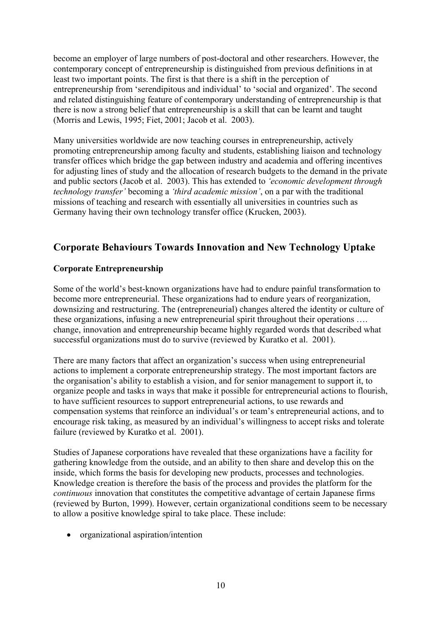<span id="page-9-0"></span>become an employer of large numbers of post-doctoral and other researchers. However, the contemporary concept of entrepreneurship is distinguished from previous definitions in at least two important points. The first is that there is a shift in the perception of entrepreneurship from 'serendipitous and individual' to 'social and organized'. The second and related distinguishing feature of contemporary understanding of entrepreneurship is that there is now a strong belief that entrepreneurship is a skill that can be learnt and taught (Morris and Lewis, 1995; Fiet, 2001; Jacob et al. 2003).

Many universities worldwide are now teaching courses in entrepreneurship, actively promoting entrepreneurship among faculty and students, establishing liaison and technology transfer offices which bridge the gap between industry and academia and offering incentives for adjusting lines of study and the allocation of research budgets to the demand in the private and public sectors (Jacob et al. 2003). This has extended to *'economic development through technology transfer'* becoming a *'third academic mission'*, on a par with the traditional missions of teaching and research with essentially all universities in countries such as Germany having their own technology transfer office (Krucken, 2003).

# **Corporate Behaviours Towards Innovation and New Technology Uptake**

## **Corporate Entrepreneurship**

Some of the world's best-known organizations have had to endure painful transformation to become more entrepreneurial. These organizations had to endure years of reorganization, downsizing and restructuring. The (entrepreneurial) changes altered the identity or culture of these organizations, infusing a new entrepreneurial spirit throughout their operations …. change, innovation and entrepreneurship became highly regarded words that described what successful organizations must do to survive (reviewed by Kuratko et al. 2001).

There are many factors that affect an organization's success when using entrepreneurial actions to implement a corporate entrepreneurship strategy. The most important factors are the organisation's ability to establish a vision, and for senior management to support it, to organize people and tasks in ways that make it possible for entrepreneurial actions to flourish, to have sufficient resources to support entrepreneurial actions, to use rewards and compensation systems that reinforce an individual's or team's entrepreneurial actions, and to encourage risk taking, as measured by an individual's willingness to accept risks and tolerate failure (reviewed by Kuratko et al. 2001).

Studies of Japanese corporations have revealed that these organizations have a facility for gathering knowledge from the outside, and an ability to then share and develop this on the inside, which forms the basis for developing new products, processes and technologies. Knowledge creation is therefore the basis of the process and provides the platform for the *continuous* innovation that constitutes the competitive advantage of certain Japanese firms (reviewed by Burton, 1999). However, certain organizational conditions seem to be necessary to allow a positive knowledge spiral to take place. These include:

• organizational aspiration/intention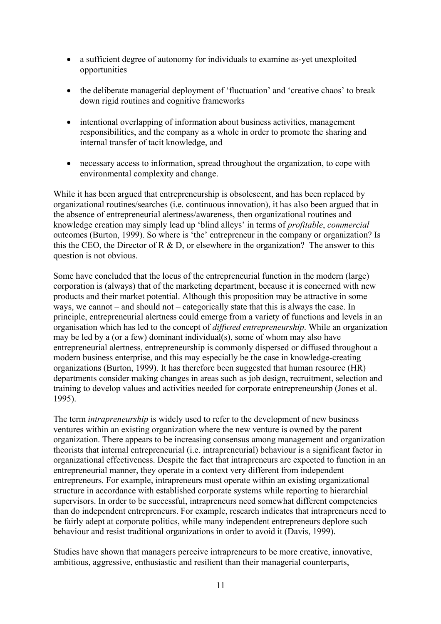- a sufficient degree of autonomy for individuals to examine as-yet unexploited opportunities
- the deliberate managerial deployment of 'fluctuation' and 'creative chaos' to break down rigid routines and cognitive frameworks
- intentional overlapping of information about business activities, management responsibilities, and the company as a whole in order to promote the sharing and internal transfer of tacit knowledge, and
- necessary access to information, spread throughout the organization, to cope with environmental complexity and change.

While it has been argued that entrepreneurship is obsolescent, and has been replaced by organizational routines/searches (i.e. continuous innovation), it has also been argued that in the absence of entrepreneurial alertness/awareness, then organizational routines and knowledge creation may simply lead up 'blind alleys' in terms of *profitable*, *commercial* outcomes (Burton, 1999). So where is 'the' entrepreneur in the company or organization? Is this the CEO, the Director of R  $\&$  D, or elsewhere in the organization? The answer to this question is not obvious.

Some have concluded that the locus of the entrepreneurial function in the modern (large) corporation is (always) that of the marketing department, because it is concerned with new products and their market potential. Although this proposition may be attractive in some ways, we cannot – and should not – categorically state that this is always the case. In principle, entrepreneurial alertness could emerge from a variety of functions and levels in an organisation which has led to the concept of *diffused entrepreneurship*. While an organization may be led by a (or a few) dominant individual(s), some of whom may also have entrepreneurial alertness, entrepreneurship is commonly dispersed or diffused throughout a modern business enterprise, and this may especially be the case in knowledge-creating organizations (Burton, 1999). It has therefore been suggested that human resource (HR) departments consider making changes in areas such as job design, recruitment, selection and training to develop values and activities needed for corporate entrepreneurship (Jones et al. 1995).

The term *intrapreneurship* is widely used to refer to the development of new business ventures within an existing organization where the new venture is owned by the parent organization. There appears to be increasing consensus among management and organization theorists that internal entrepreneurial (i.e. intrapreneurial) behaviour is a significant factor in organizational effectiveness. Despite the fact that intrapreneurs are expected to function in an entrepreneurial manner, they operate in a context very different from independent entrepreneurs. For example, intrapreneurs must operate within an existing organizational structure in accordance with established corporate systems while reporting to hierarchial supervisors. In order to be successful, intrapreneurs need somewhat different competencies than do independent entrepreneurs. For example, research indicates that intrapreneurs need to be fairly adept at corporate politics, while many independent entrepreneurs deplore such behaviour and resist traditional organizations in order to avoid it (Davis, 1999).

Studies have shown that managers perceive intrapreneurs to be more creative, innovative, ambitious, aggressive, enthusiastic and resilient than their managerial counterparts,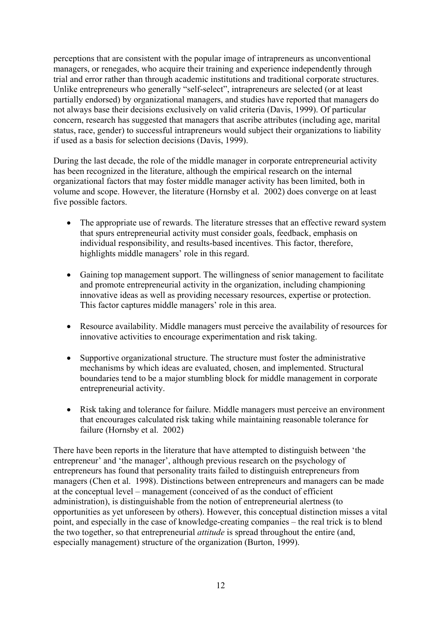perceptions that are consistent with the popular image of intrapreneurs as unconventional managers, or renegades, who acquire their training and experience independently through trial and error rather than through academic institutions and traditional corporate structures. Unlike entrepreneurs who generally "self-select", intrapreneurs are selected (or at least partially endorsed) by organizational managers, and studies have reported that managers do not always base their decisions exclusively on valid criteria (Davis, 1999). Of particular concern, research has suggested that managers that ascribe attributes (including age, marital status, race, gender) to successful intrapreneurs would subject their organizations to liability if used as a basis for selection decisions (Davis, 1999).

During the last decade, the role of the middle manager in corporate entrepreneurial activity has been recognized in the literature, although the empirical research on the internal organizational factors that may foster middle manager activity has been limited, both in volume and scope. However, the literature (Hornsby et al. 2002) does converge on at least five possible factors.

- The appropriate use of rewards. The literature stresses that an effective reward system that spurs entrepreneurial activity must consider goals, feedback, emphasis on individual responsibility, and results-based incentives. This factor, therefore, highlights middle managers' role in this regard.
- Gaining top management support. The willingness of senior management to facilitate and promote entrepreneurial activity in the organization, including championing innovative ideas as well as providing necessary resources, expertise or protection. This factor captures middle managers' role in this area.
- Resource availability. Middle managers must perceive the availability of resources for innovative activities to encourage experimentation and risk taking.
- Supportive organizational structure. The structure must foster the administrative mechanisms by which ideas are evaluated, chosen, and implemented. Structural boundaries tend to be a major stumbling block for middle management in corporate entrepreneurial activity.
- Risk taking and tolerance for failure. Middle managers must perceive an environment that encourages calculated risk taking while maintaining reasonable tolerance for failure (Hornsby et al. 2002)

There have been reports in the literature that have attempted to distinguish between 'the entrepreneur' and 'the manager', although previous research on the psychology of entrepreneurs has found that personality traits failed to distinguish entrepreneurs from managers (Chen et al. 1998). Distinctions between entrepreneurs and managers can be made at the conceptual level – management (conceived of as the conduct of efficient administration), is distinguishable from the notion of entrepreneurial alertness (to opportunities as yet unforeseen by others). However, this conceptual distinction misses a vital point, and especially in the case of knowledge-creating companies – the real trick is to blend the two together, so that entrepreneurial *attitude* is spread throughout the entire (and, especially management) structure of the organization (Burton, 1999).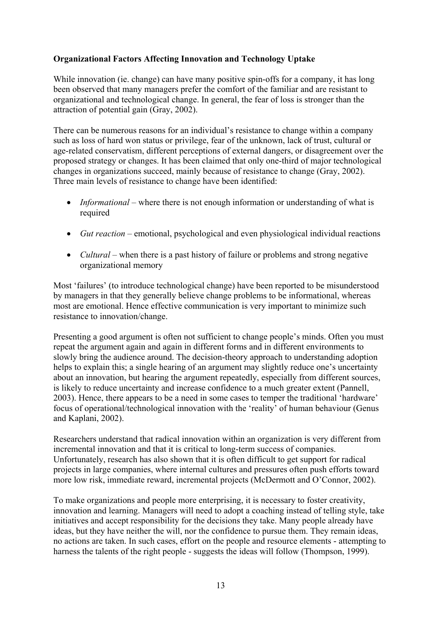### <span id="page-12-0"></span>**Organizational Factors Affecting Innovation and Technology Uptake**

While innovation (ie. change) can have many positive spin-offs for a company, it has long been observed that many managers prefer the comfort of the familiar and are resistant to organizational and technological change. In general, the fear of loss is stronger than the attraction of potential gain (Gray, 2002).

There can be numerous reasons for an individual's resistance to change within a company such as loss of hard won status or privilege, fear of the unknown, lack of trust, cultural or age-related conservatism, different perceptions of external dangers, or disagreement over the proposed strategy or changes. It has been claimed that only one-third of major technological changes in organizations succeed, mainly because of resistance to change (Gray, 2002). Three main levels of resistance to change have been identified:

- *Informational* where there is not enough information or understanding of what is required
- *Gut reaction* emotional, psychological and even physiological individual reactions
- *Cultural* when there is a past history of failure or problems and strong negative organizational memory

Most 'failures' (to introduce technological change) have been reported to be misunderstood by managers in that they generally believe change problems to be informational, whereas most are emotional. Hence effective communication is very important to minimize such resistance to innovation/change.

Presenting a good argument is often not sufficient to change people's minds. Often you must repeat the argument again and again in different forms and in different environments to slowly bring the audience around. The decision-theory approach to understanding adoption helps to explain this; a single hearing of an argument may slightly reduce one's uncertainty about an innovation, but hearing the argument repeatedly, especially from different sources, is likely to reduce uncertainty and increase confidence to a much greater extent (Pannell, 2003). Hence, there appears to be a need in some cases to temper the traditional 'hardware' focus of operational/technological innovation with the 'reality' of human behaviour (Genus and Kaplani, 2002).

Researchers understand that radical innovation within an organization is very different from incremental innovation and that it is critical to long-term success of companies. Unfortunately, research has also shown that it is often difficult to get support for radical projects in large companies, where internal cultures and pressures often push efforts toward more low risk, immediate reward, incremental projects (McDermott and O'Connor, 2002).

To make organizations and people more enterprising, it is necessary to foster creativity, innovation and learning. Managers will need to adopt a coaching instead of telling style, take initiatives and accept responsibility for the decisions they take. Many people already have ideas, but they have neither the will, nor the confidence to pursue them. They remain ideas, no actions are taken. In such cases, effort on the people and resource elements - attempting to harness the talents of the right people - suggests the ideas will follow (Thompson, 1999).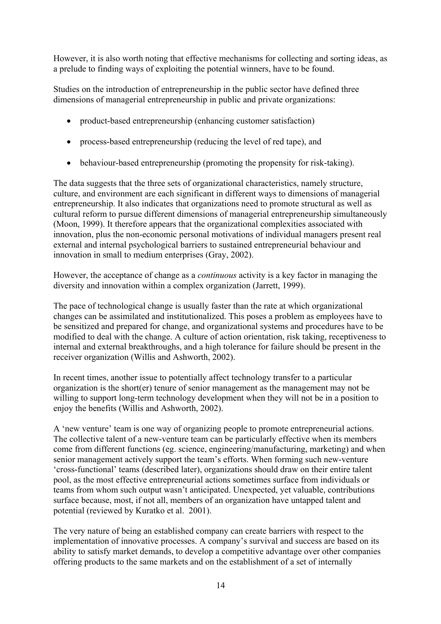However, it is also worth noting that effective mechanisms for collecting and sorting ideas, as a prelude to finding ways of exploiting the potential winners, have to be found.

Studies on the introduction of entrepreneurship in the public sector have defined three dimensions of managerial entrepreneurship in public and private organizations:

- product-based entrepreneurship (enhancing customer satisfaction)
- process-based entrepreneurship (reducing the level of red tape), and
- behaviour-based entrepreneurship (promoting the propensity for risk-taking).

The data suggests that the three sets of organizational characteristics, namely structure, culture, and environment are each significant in different ways to dimensions of managerial entrepreneurship. It also indicates that organizations need to promote structural as well as cultural reform to pursue different dimensions of managerial entrepreneurship simultaneously (Moon, 1999). It therefore appears that the organizational complexities associated with innovation, plus the non-economic personal motivations of individual managers present real external and internal psychological barriers to sustained entrepreneurial behaviour and innovation in small to medium enterprises (Gray, 2002).

However, the acceptance of change as a *continuous* activity is a key factor in managing the diversity and innovation within a complex organization (Jarrett, 1999).

The pace of technological change is usually faster than the rate at which organizational changes can be assimilated and institutionalized. This poses a problem as employees have to be sensitized and prepared for change, and organizational systems and procedures have to be modified to deal with the change. A culture of action orientation, risk taking, receptiveness to internal and external breakthroughs, and a high tolerance for failure should be present in the receiver organization (Willis and Ashworth, 2002).

In recent times, another issue to potentially affect technology transfer to a particular organization is the short(er) tenure of senior management as the management may not be willing to support long-term technology development when they will not be in a position to enjoy the benefits (Willis and Ashworth, 2002).

A 'new venture' team is one way of organizing people to promote entrepreneurial actions. The collective talent of a new-venture team can be particularly effective when its members come from different functions (eg. science, engineering/manufacturing, marketing) and when senior management actively support the team's efforts. When forming such new-venture 'cross-functional' teams (described later), organizations should draw on their entire talent pool, as the most effective entrepreneurial actions sometimes surface from individuals or teams from whom such output wasn't anticipated. Unexpected, yet valuable, contributions surface because, most, if not all, members of an organization have untapped talent and potential (reviewed by Kuratko et al. 2001).

The very nature of being an established company can create barriers with respect to the implementation of innovative processes. A company's survival and success are based on its ability to satisfy market demands, to develop a competitive advantage over other companies offering products to the same markets and on the establishment of a set of internally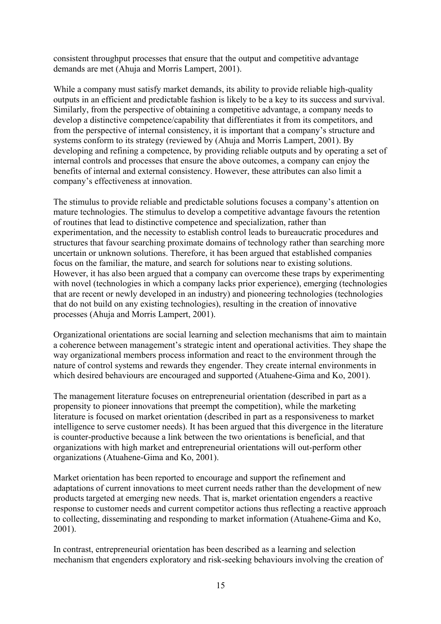consistent throughput processes that ensure that the output and competitive advantage demands are met (Ahuja and Morris Lampert, 2001).

While a company must satisfy market demands, its ability to provide reliable high-quality outputs in an efficient and predictable fashion is likely to be a key to its success and survival. Similarly, from the perspective of obtaining a competitive advantage, a company needs to develop a distinctive competence/capability that differentiates it from its competitors, and from the perspective of internal consistency, it is important that a company's structure and systems conform to its strategy (reviewed by (Ahuja and Morris Lampert, 2001). By developing and refining a competence, by providing reliable outputs and by operating a set of internal controls and processes that ensure the above outcomes, a company can enjoy the benefits of internal and external consistency. However, these attributes can also limit a company's effectiveness at innovation.

The stimulus to provide reliable and predictable solutions focuses a company's attention on mature technologies. The stimulus to develop a competitive advantage favours the retention of routines that lead to distinctive competence and specialization, rather than experimentation, and the necessity to establish control leads to bureaucratic procedures and structures that favour searching proximate domains of technology rather than searching more uncertain or unknown solutions. Therefore, it has been argued that established companies focus on the familiar, the mature, and search for solutions near to existing solutions. However, it has also been argued that a company can overcome these traps by experimenting with novel (technologies in which a company lacks prior experience), emerging (technologies that are recent or newly developed in an industry) and pioneering technologies (technologies that do not build on any existing technologies), resulting in the creation of innovative processes (Ahuja and Morris Lampert, 2001).

Organizational orientations are social learning and selection mechanisms that aim to maintain a coherence between management's strategic intent and operational activities. They shape the way organizational members process information and react to the environment through the nature of control systems and rewards they engender. They create internal environments in which desired behaviours are encouraged and supported (Atuahene-Gima and Ko, 2001).

The management literature focuses on entrepreneurial orientation (described in part as a propensity to pioneer innovations that preempt the competition), while the marketing literature is focused on market orientation (described in part as a responsiveness to market intelligence to serve customer needs). It has been argued that this divergence in the literature is counter-productive because a link between the two orientations is beneficial, and that organizations with high market and entrepreneurial orientations will out-perform other organizations (Atuahene-Gima and Ko, 2001).

Market orientation has been reported to encourage and support the refinement and adaptations of current innovations to meet current needs rather than the development of new products targeted at emerging new needs. That is, market orientation engenders a reactive response to customer needs and current competitor actions thus reflecting a reactive approach to collecting, disseminating and responding to market information (Atuahene-Gima and Ko, 2001).

In contrast, entrepreneurial orientation has been described as a learning and selection mechanism that engenders exploratory and risk-seeking behaviours involving the creation of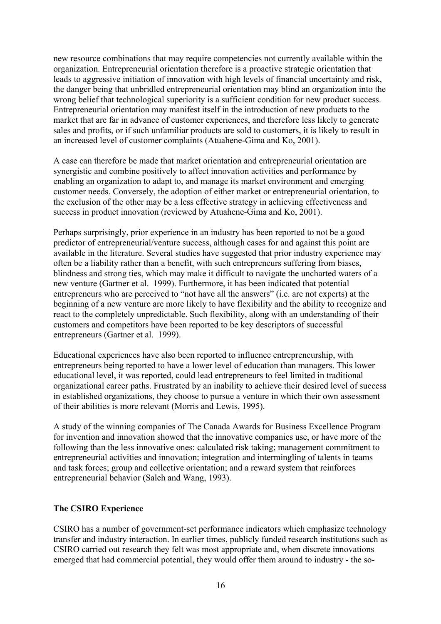<span id="page-15-0"></span>new resource combinations that may require competencies not currently available within the organization. Entrepreneurial orientation therefore is a proactive strategic orientation that leads to aggressive initiation of innovation with high levels of financial uncertainty and risk, the danger being that unbridled entrepreneurial orientation may blind an organization into the wrong belief that technological superiority is a sufficient condition for new product success. Entrepreneurial orientation may manifest itself in the introduction of new products to the market that are far in advance of customer experiences, and therefore less likely to generate sales and profits, or if such unfamiliar products are sold to customers, it is likely to result in an increased level of customer complaints (Atuahene-Gima and Ko, 2001).

A case can therefore be made that market orientation and entrepreneurial orientation are synergistic and combine positively to affect innovation activities and performance by enabling an organization to adapt to, and manage its market environment and emerging customer needs. Conversely, the adoption of either market or entrepreneurial orientation, to the exclusion of the other may be a less effective strategy in achieving effectiveness and success in product innovation (reviewed by Atuahene-Gima and Ko, 2001).

Perhaps surprisingly, prior experience in an industry has been reported to not be a good predictor of entrepreneurial/venture success, although cases for and against this point are available in the literature. Several studies have suggested that prior industry experience may often be a liability rather than a benefit, with such entrepreneurs suffering from biases, blindness and strong ties, which may make it difficult to navigate the uncharted waters of a new venture (Gartner et al. 1999). Furthermore, it has been indicated that potential entrepreneurs who are perceived to "not have all the answers" (i.e. are not experts) at the beginning of a new venture are more likely to have flexibility and the ability to recognize and react to the completely unpredictable. Such flexibility, along with an understanding of their customers and competitors have been reported to be key descriptors of successful entrepreneurs (Gartner et al. 1999).

Educational experiences have also been reported to influence entrepreneurship, with entrepreneurs being reported to have a lower level of education than managers. This lower educational level, it was reported, could lead entrepreneurs to feel limited in traditional organizational career paths. Frustrated by an inability to achieve their desired level of success in established organizations, they choose to pursue a venture in which their own assessment of their abilities is more relevant (Morris and Lewis, 1995).

A study of the winning companies of The Canada Awards for Business Excellence Program for invention and innovation showed that the innovative companies use, or have more of the following than the less innovative ones: calculated risk taking; management commitment to entrepreneurial activities and innovation; integration and intermingling of talents in teams and task forces; group and collective orientation; and a reward system that reinforces entrepreneurial behavior (Saleh and Wang, 1993).

#### **The CSIRO Experience**

CSIRO has a number of government-set performance indicators which emphasize technology transfer and industry interaction. In earlier times, publicly funded research institutions such as CSIRO carried out research they felt was most appropriate and, when discrete innovations emerged that had commercial potential, they would offer them around to industry - the so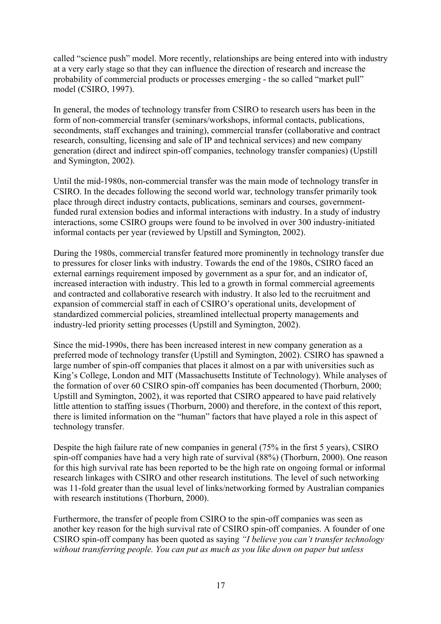called "science push" model. More recently, relationships are being entered into with industry at a very early stage so that they can influence the direction of research and increase the probability of commercial products or processes emerging - the so called "market pull" model (CSIRO, 1997).

In general, the modes of technology transfer from CSIRO to research users has been in the form of non-commercial transfer (seminars/workshops, informal contacts, publications, secondments, staff exchanges and training), commercial transfer (collaborative and contract research, consulting, licensing and sale of IP and technical services) and new company generation (direct and indirect spin-off companies, technology transfer companies) (Upstill and Symington, 2002).

Until the mid-1980s, non-commercial transfer was the main mode of technology transfer in CSIRO. In the decades following the second world war, technology transfer primarily took place through direct industry contacts, publications, seminars and courses, governmentfunded rural extension bodies and informal interactions with industry. In a study of industry interactions, some CSIRO groups were found to be involved in over 300 industry-initiated informal contacts per year (reviewed by Upstill and Symington, 2002).

During the 1980s, commercial transfer featured more prominently in technology transfer due to pressures for closer links with industry. Towards the end of the 1980s, CSIRO faced an external earnings requirement imposed by government as a spur for, and an indicator of. increased interaction with industry. This led to a growth in formal commercial agreements and contracted and collaborative research with industry. It also led to the recruitment and expansion of commercial staff in each of CSIRO's operational units, development of standardized commercial policies, streamlined intellectual property managements and industry-led priority setting processes (Upstill and Symington, 2002).

Since the mid-1990s, there has been increased interest in new company generation as a preferred mode of technology transfer (Upstill and Symington, 2002). CSIRO has spawned a large number of spin-off companies that places it almost on a par with universities such as King's College, London and MIT (Massachusetts Institute of Technology). While analyses of the formation of over 60 CSIRO spin-off companies has been documented (Thorburn, 2000; Upstill and Symington, 2002), it was reported that CSIRO appeared to have paid relatively little attention to staffing issues (Thorburn, 2000) and therefore, in the context of this report, there is limited information on the "human" factors that have played a role in this aspect of technology transfer.

Despite the high failure rate of new companies in general (75% in the first 5 years), CSIRO spin-off companies have had a very high rate of survival (88%) (Thorburn, 2000). One reason for this high survival rate has been reported to be the high rate on ongoing formal or informal research linkages with CSIRO and other research institutions. The level of such networking was 11-fold greater than the usual level of links/networking formed by Australian companies with research institutions (Thorburn, 2000).

Furthermore, the transfer of people from CSIRO to the spin-off companies was seen as another key reason for the high survival rate of CSIRO spin-off companies. A founder of one CSIRO spin-off company has been quoted as saying *"I believe you can't transfer technology without transferring people. You can put as much as you like down on paper but unless*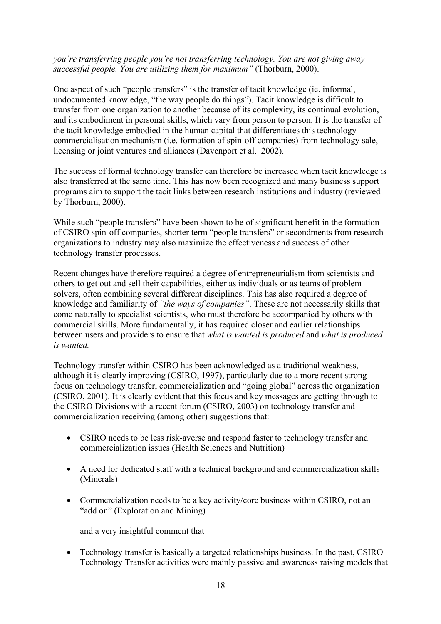#### *you're transferring people you're not transferring technology. You are not giving away successful people. You are utilizing them for maximum"* (Thorburn, 2000).

One aspect of such "people transfers" is the transfer of tacit knowledge (ie. informal, undocumented knowledge, "the way people do things"). Tacit knowledge is difficult to transfer from one organization to another because of its complexity, its continual evolution, and its embodiment in personal skills, which vary from person to person. It is the transfer of the tacit knowledge embodied in the human capital that differentiates this technology commercialisation mechanism (i.e. formation of spin-off companies) from technology sale, licensing or joint ventures and alliances (Davenport et al. 2002).

The success of formal technology transfer can therefore be increased when tacit knowledge is also transferred at the same time. This has now been recognized and many business support programs aim to support the tacit links between research institutions and industry (reviewed by Thorburn, 2000).

While such "people transfers" have been shown to be of significant benefit in the formation of CSIRO spin-off companies, shorter term "people transfers" or secondments from research organizations to industry may also maximize the effectiveness and success of other technology transfer processes.

Recent changes have therefore required a degree of entrepreneurialism from scientists and others to get out and sell their capabilities, either as individuals or as teams of problem solvers, often combining several different disciplines. This has also required a degree of knowledge and familiarity of *"the ways of companies"*. These are not necessarily skills that come naturally to specialist scientists, who must therefore be accompanied by others with commercial skills. More fundamentally, it has required closer and earlier relationships between users and providers to ensure that *what is wanted is produced* and *what is produced is wanted.*

Technology transfer within CSIRO has been acknowledged as a traditional weakness, although it is clearly improving (CSIRO, 1997), particularly due to a more recent strong focus on technology transfer, commercialization and "going global" across the organization (CSIRO, 2001). It is clearly evident that this focus and key messages are getting through to the CSIRO Divisions with a recent forum (CSIRO, 2003) on technology transfer and commercialization receiving (among other) suggestions that:

- CSIRO needs to be less risk-averse and respond faster to technology transfer and commercialization issues (Health Sciences and Nutrition)
- A need for dedicated staff with a technical background and commercialization skills (Minerals)
- Commercialization needs to be a key activity/core business within CSIRO, not an "add on" (Exploration and Mining)

and a very insightful comment that

• Technology transfer is basically a targeted relationships business. In the past, CSIRO Technology Transfer activities were mainly passive and awareness raising models that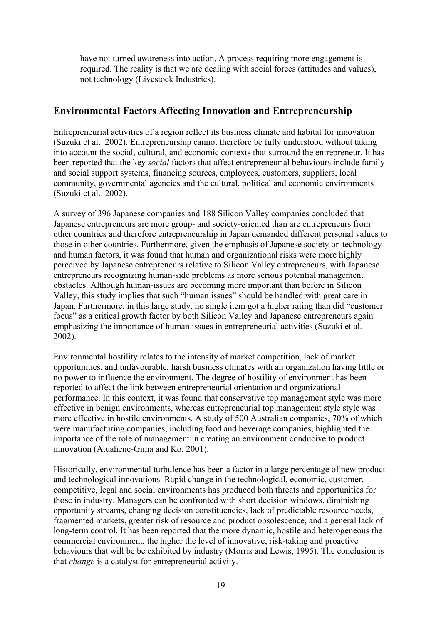<span id="page-18-0"></span>have not turned awareness into action. A process requiring more engagement is required. The reality is that we are dealing with social forces (attitudes and values), not technology (Livestock Industries).

## **Environmental Factors Affecting Innovation and Entrepreneurship**

Entrepreneurial activities of a region reflect its business climate and habitat for innovation (Suzuki et al. 2002). Entrepreneurship cannot therefore be fully understood without taking into account the social, cultural, and economic contexts that surround the entrepreneur. It has been reported that the key *social* factors that affect entrepreneurial behaviours include family and social support systems, financing sources, employees, customers, suppliers, local community, governmental agencies and the cultural, political and economic environments (Suzuki et al. 2002).

A survey of 396 Japanese companies and 188 Silicon Valley companies concluded that Japanese entrepreneurs are more group- and society-oriented than are entrepreneurs from other countries and therefore entrepreneurship in Japan demanded different personal values to those in other countries. Furthermore, given the emphasis of Japanese society on technology and human factors, it was found that human and organizational risks were more highly perceived by Japanese entrepreneurs relative to Silicon Valley entrepreneurs, with Japanese entrepreneurs recognizing human-side problems as more serious potential management obstacles. Although human-issues are becoming more important than before in Silicon Valley, this study implies that such "human issues" should be handled with great care in Japan. Furthermore, in this large study, no single item got a higher rating than did "customer focus" as a critical growth factor by both Silicon Valley and Japanese entrepreneurs again emphasizing the importance of human issues in entrepreneurial activities (Suzuki et al. 2002).

Environmental hostility relates to the intensity of market competition, lack of market opportunities, and unfavourable, harsh business climates with an organization having little or no power to influence the environment. The degree of hostility of environment has been reported to affect the link between entrepreneurial orientation and organizational performance. In this context, it was found that conservative top management style was more effective in benign environments, whereas entrepreneurial top management style style was more effective in hostile environments. A study of 500 Australian companies, 70% of which were manufacturing companies, including food and beverage companies, highlighted the importance of the role of management in creating an environment conducive to product innovation (Atuahene-Gima and Ko, 2001).

Historically, environmental turbulence has been a factor in a large percentage of new product and technological innovations. Rapid change in the technological, economic, customer, competitive, legal and social environments has produced both threats and opportunities for those in industry. Managers can be confronted with short decision windows, diminishing opportunity streams, changing decision constituencies, lack of predictable resource needs, fragmented markets, greater risk of resource and product obsolescence, and a general lack of long-term control. It has been reported that the more dynamic, hostile and heterogeneous the commercial environment, the higher the level of innovative, risk-taking and proactive behaviours that will be be exhibited by industry (Morris and Lewis, 1995). The conclusion is that *change* is a catalyst for entrepreneurial activity.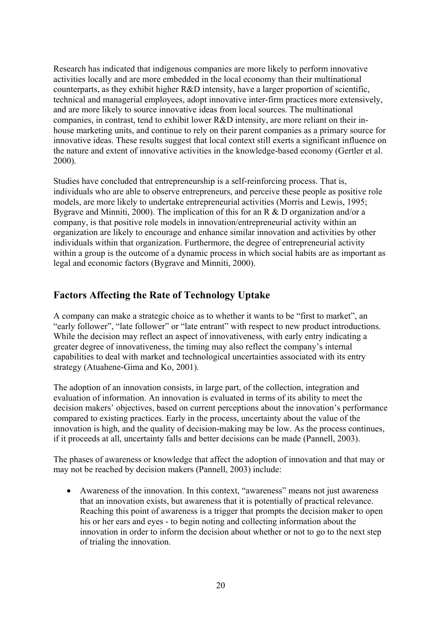<span id="page-19-0"></span>Research has indicated that indigenous companies are more likely to perform innovative activities locally and are more embedded in the local economy than their multinational counterparts, as they exhibit higher R&D intensity, have a larger proportion of scientific, technical and managerial employees, adopt innovative inter-firm practices more extensively, and are more likely to source innovative ideas from local sources. The multinational companies, in contrast, tend to exhibit lower R&D intensity, are more reliant on their inhouse marketing units, and continue to rely on their parent companies as a primary source for innovative ideas. These results suggest that local context still exerts a significant influence on the nature and extent of innovative activities in the knowledge-based economy (Gertler et al. 2000).

Studies have concluded that entrepreneurship is a self-reinforcing process. That is, individuals who are able to observe entrepreneurs, and perceive these people as positive role models, are more likely to undertake entrepreneurial activities (Morris and Lewis, 1995; Bygrave and Minniti, 2000). The implication of this for an R & D organization and/or a company, is that positive role models in innovation/entrepreneurial activity within an organization are likely to encourage and enhance similar innovation and activities by other individuals within that organization. Furthermore, the degree of entrepreneurial activity within a group is the outcome of a dynamic process in which social habits are as important as legal and economic factors (Bygrave and Minniti, 2000).

# **Factors Affecting the Rate of Technology Uptake**

A company can make a strategic choice as to whether it wants to be "first to market", an "early follower", "late follower" or "late entrant" with respect to new product introductions. While the decision may reflect an aspect of innovativeness, with early entry indicating a greater degree of innovativeness, the timing may also reflect the company's internal capabilities to deal with market and technological uncertainties associated with its entry strategy (Atuahene-Gima and Ko, 2001).

The adoption of an innovation consists, in large part, of the collection, integration and evaluation of information. An innovation is evaluated in terms of its ability to meet the decision makers' objectives, based on current perceptions about the innovation's performance compared to existing practices. Early in the process, uncertainty about the value of the innovation is high, and the quality of decision-making may be low. As the process continues, if it proceeds at all, uncertainty falls and better decisions can be made (Pannell, 2003).

The phases of awareness or knowledge that affect the adoption of innovation and that may or may not be reached by decision makers (Pannell, 2003) include:

• Awareness of the innovation. In this context, "awareness" means not just awareness that an innovation exists, but awareness that it is potentially of practical relevance. Reaching this point of awareness is a trigger that prompts the decision maker to open his or her ears and eyes - to begin noting and collecting information about the innovation in order to inform the decision about whether or not to go to the next step of trialing the innovation.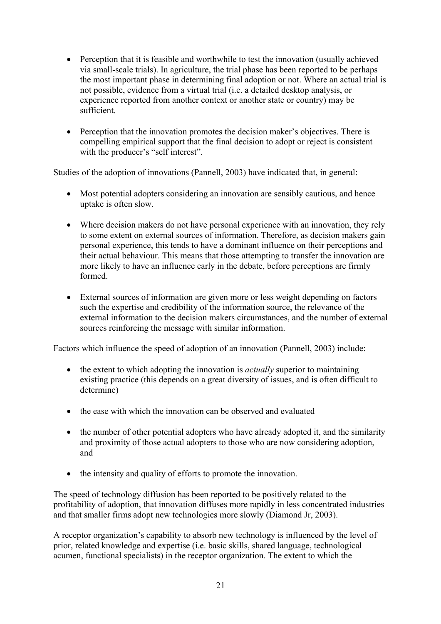- Perception that it is feasible and worthwhile to test the innovation (usually achieved via small-scale trials). In agriculture, the trial phase has been reported to be perhaps the most important phase in determining final adoption or not. Where an actual trial is not possible, evidence from a virtual trial (i.e. a detailed desktop analysis, or experience reported from another context or another state or country) may be sufficient.
- Perception that the innovation promotes the decision maker's objectives. There is compelling empirical support that the final decision to adopt or reject is consistent with the producer's "self interest".

Studies of the adoption of innovations (Pannell, 2003) have indicated that, in general:

- Most potential adopters considering an innovation are sensibly cautious, and hence uptake is often slow.
- Where decision makers do not have personal experience with an innovation, they rely to some extent on external sources of information. Therefore, as decision makers gain personal experience, this tends to have a dominant influence on their perceptions and their actual behaviour. This means that those attempting to transfer the innovation are more likely to have an influence early in the debate, before perceptions are firmly formed.
- External sources of information are given more or less weight depending on factors such the expertise and credibility of the information source, the relevance of the external information to the decision makers circumstances, and the number of external sources reinforcing the message with similar information.

Factors which influence the speed of adoption of an innovation (Pannell, 2003) include:

- the extent to which adopting the innovation is *actually* superior to maintaining existing practice (this depends on a great diversity of issues, and is often difficult to determine)
- the ease with which the innovation can be observed and evaluated
- the number of other potential adopters who have already adopted it, and the similarity and proximity of those actual adopters to those who are now considering adoption, and
- the intensity and quality of efforts to promote the innovation.

The speed of technology diffusion has been reported to be positively related to the profitability of adoption, that innovation diffuses more rapidly in less concentrated industries and that smaller firms adopt new technologies more slowly (Diamond Jr, 2003).

A receptor organization's capability to absorb new technology is influenced by the level of prior, related knowledge and expertise (i.e. basic skills, shared language, technological acumen, functional specialists) in the receptor organization. The extent to which the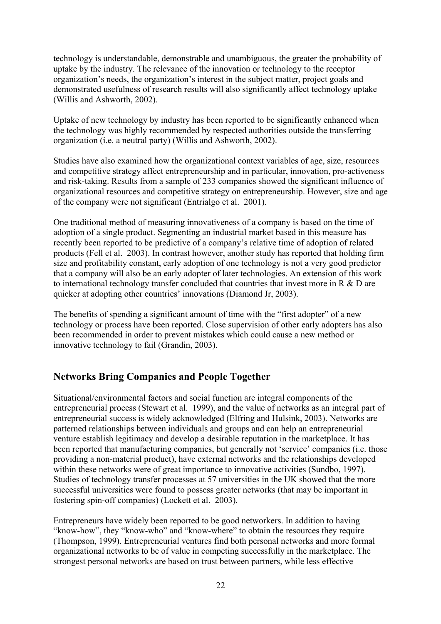<span id="page-21-0"></span>technology is understandable, demonstrable and unambiguous, the greater the probability of uptake by the industry. The relevance of the innovation or technology to the receptor organization's needs, the organization's interest in the subject matter, project goals and demonstrated usefulness of research results will also significantly affect technology uptake (Willis and Ashworth, 2002).

Uptake of new technology by industry has been reported to be significantly enhanced when the technology was highly recommended by respected authorities outside the transferring organization (i.e. a neutral party) (Willis and Ashworth, 2002).

Studies have also examined how the organizational context variables of age, size, resources and competitive strategy affect entrepreneurship and in particular, innovation, pro-activeness and risk-taking. Results from a sample of 233 companies showed the significant influence of organizational resources and competitive strategy on entrepreneurship. However, size and age of the company were not significant (Entrialgo et al. 2001).

One traditional method of measuring innovativeness of a company is based on the time of adoption of a single product. Segmenting an industrial market based in this measure has recently been reported to be predictive of a company's relative time of adoption of related products (Fell et al. 2003). In contrast however, another study has reported that holding firm size and profitability constant, early adoption of one technology is not a very good predictor that a company will also be an early adopter of later technologies. An extension of this work to international technology transfer concluded that countries that invest more in R & D are quicker at adopting other countries' innovations (Diamond Jr, 2003).

The benefits of spending a significant amount of time with the "first adopter" of a new technology or process have been reported. Close supervision of other early adopters has also been recommended in order to prevent mistakes which could cause a new method or innovative technology to fail (Grandin, 2003).

# **Networks Bring Companies and People Together**

Situational/environmental factors and social function are integral components of the entrepreneurial process (Stewart et al. 1999), and the value of networks as an integral part of entrepreneurial success is widely acknowledged (Elfring and Hulsink, 2003). Networks are patterned relationships between individuals and groups and can help an entrepreneurial venture establish legitimacy and develop a desirable reputation in the marketplace. It has been reported that manufacturing companies, but generally not 'service' companies (i.e. those providing a non-material product), have external networks and the relationships developed within these networks were of great importance to innovative activities (Sundbo, 1997). Studies of technology transfer processes at 57 universities in the UK showed that the more successful universities were found to possess greater networks (that may be important in fostering spin-off companies) (Lockett et al. 2003).

Entrepreneurs have widely been reported to be good networkers. In addition to having "know-how", they "know-who" and "know-where" to obtain the resources they require (Thompson, 1999). Entrepreneurial ventures find both personal networks and more formal organizational networks to be of value in competing successfully in the marketplace. The strongest personal networks are based on trust between partners, while less effective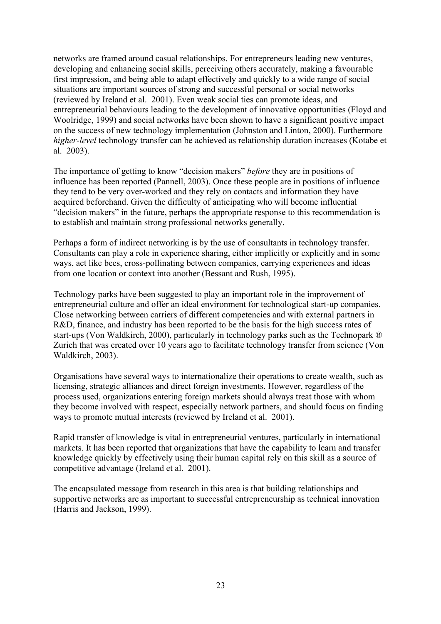networks are framed around casual relationships. For entrepreneurs leading new ventures, developing and enhancing social skills, perceiving others accurately, making a favourable first impression, and being able to adapt effectively and quickly to a wide range of social situations are important sources of strong and successful personal or social networks (reviewed by Ireland et al. 2001). Even weak social ties can promote ideas, and entrepreneurial behaviours leading to the development of innovative opportunities (Floyd and Woolridge, 1999) and social networks have been shown to have a significant positive impact on the success of new technology implementation (Johnston and Linton, 2000). Furthermore *higher-level* technology transfer can be achieved as relationship duration increases (Kotabe et al. 2003).

The importance of getting to know "decision makers" *before* they are in positions of influence has been reported (Pannell, 2003). Once these people are in positions of influence they tend to be very over-worked and they rely on contacts and information they have acquired beforehand. Given the difficulty of anticipating who will become influential "decision makers" in the future, perhaps the appropriate response to this recommendation is to establish and maintain strong professional networks generally.

Perhaps a form of indirect networking is by the use of consultants in technology transfer. Consultants can play a role in experience sharing, either implicitly or explicitly and in some ways, act like bees, cross-pollinating between companies, carrying experiences and ideas from one location or context into another (Bessant and Rush, 1995).

Technology parks have been suggested to play an important role in the improvement of entrepreneurial culture and offer an ideal environment for technological start-up companies. Close networking between carriers of different competencies and with external partners in R&D, finance, and industry has been reported to be the basis for the high success rates of start-ups (Von Waldkirch, 2000), particularly in technology parks such as the Technopark ® Zurich that was created over 10 years ago to facilitate technology transfer from science (Von Waldkirch, 2003).

Organisations have several ways to internationalize their operations to create wealth, such as licensing, strategic alliances and direct foreign investments. However, regardless of the process used, organizations entering foreign markets should always treat those with whom they become involved with respect, especially network partners, and should focus on finding ways to promote mutual interests (reviewed by Ireland et al. 2001).

Rapid transfer of knowledge is vital in entrepreneurial ventures, particularly in international markets. It has been reported that organizations that have the capability to learn and transfer knowledge quickly by effectively using their human capital rely on this skill as a source of competitive advantage (Ireland et al. 2001).

The encapsulated message from research in this area is that building relationships and supportive networks are as important to successful entrepreneurship as technical innovation (Harris and Jackson, 1999).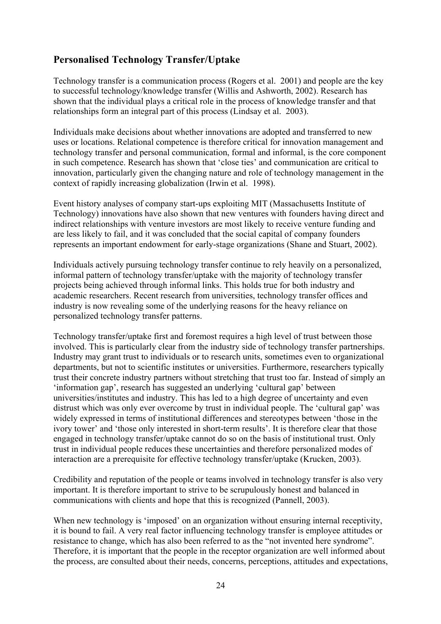# <span id="page-23-0"></span>**Personalised Technology Transfer/Uptake**

Technology transfer is a communication process (Rogers et al. 2001) and people are the key to successful technology/knowledge transfer (Willis and Ashworth, 2002). Research has shown that the individual plays a critical role in the process of knowledge transfer and that relationships form an integral part of this process (Lindsay et al. 2003).

Individuals make decisions about whether innovations are adopted and transferred to new uses or locations. Relational competence is therefore critical for innovation management and technology transfer and personal communication, formal and informal, is the core component in such competence. Research has shown that 'close ties' and communication are critical to innovation, particularly given the changing nature and role of technology management in the context of rapidly increasing globalization (Irwin et al. 1998).

Event history analyses of company start-ups exploiting MIT (Massachusetts Institute of Technology) innovations have also shown that new ventures with founders having direct and indirect relationships with venture investors are most likely to receive venture funding and are less likely to fail, and it was concluded that the social capital of company founders represents an important endowment for early-stage organizations (Shane and Stuart, 2002).

Individuals actively pursuing technology transfer continue to rely heavily on a personalized, informal pattern of technology transfer/uptake with the majority of technology transfer projects being achieved through informal links. This holds true for both industry and academic researchers. Recent research from universities, technology transfer offices and industry is now revealing some of the underlying reasons for the heavy reliance on personalized technology transfer patterns.

Technology transfer/uptake first and foremost requires a high level of trust between those involved. This is particularly clear from the industry side of technology transfer partnerships. Industry may grant trust to individuals or to research units, sometimes even to organizational departments, but not to scientific institutes or universities. Furthermore, researchers typically trust their concrete industry partners without stretching that trust too far. Instead of simply an 'information gap', research has suggested an underlying 'cultural gap' between universities/institutes and industry. This has led to a high degree of uncertainty and even distrust which was only ever overcome by trust in individual people. The 'cultural gap' was widely expressed in terms of institutional differences and stereotypes between 'those in the ivory tower' and 'those only interested in short-term results'. It is therefore clear that those engaged in technology transfer/uptake cannot do so on the basis of institutional trust. Only trust in individual people reduces these uncertainties and therefore personalized modes of interaction are a prerequisite for effective technology transfer/uptake (Krucken, 2003).

Credibility and reputation of the people or teams involved in technology transfer is also very important. It is therefore important to strive to be scrupulously honest and balanced in communications with clients and hope that this is recognized (Pannell, 2003).

When new technology is 'imposed' on an organization without ensuring internal receptivity, it is bound to fail. A very real factor influencing technology transfer is employee attitudes or resistance to change, which has also been referred to as the "not invented here syndrome". Therefore, it is important that the people in the receptor organization are well informed about the process, are consulted about their needs, concerns, perceptions, attitudes and expectations,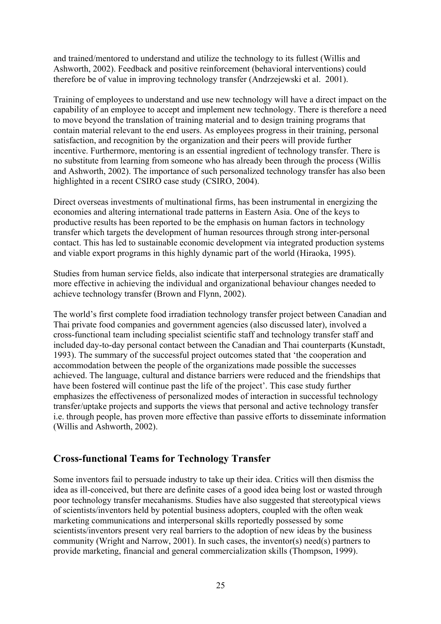<span id="page-24-0"></span>and trained/mentored to understand and utilize the technology to its fullest (Willis and Ashworth, 2002). Feedback and positive reinforcement (behavioral interventions) could therefore be of value in improving technology transfer (Andrzejewski et al. 2001).

Training of employees to understand and use new technology will have a direct impact on the capability of an employee to accept and implement new technology. There is therefore a need to move beyond the translation of training material and to design training programs that contain material relevant to the end users. As employees progress in their training, personal satisfaction, and recognition by the organization and their peers will provide further incentive. Furthermore, mentoring is an essential ingredient of technology transfer. There is no substitute from learning from someone who has already been through the process (Willis and Ashworth, 2002). The importance of such personalized technology transfer has also been highlighted in a recent CSIRO case study (CSIRO, 2004).

Direct overseas investments of multinational firms, has been instrumental in energizing the economies and altering international trade patterns in Eastern Asia. One of the keys to productive results has been reported to be the emphasis on human factors in technology transfer which targets the development of human resources through strong inter-personal contact. This has led to sustainable economic development via integrated production systems and viable export programs in this highly dynamic part of the world (Hiraoka, 1995).

Studies from human service fields, also indicate that interpersonal strategies are dramatically more effective in achieving the individual and organizational behaviour changes needed to achieve technology transfer (Brown and Flynn, 2002).

The world's first complete food irradiation technology transfer project between Canadian and Thai private food companies and government agencies (also discussed later), involved a cross-functional team including specialist scientific staff and technology transfer staff and included day-to-day personal contact between the Canadian and Thai counterparts (Kunstadt, 1993). The summary of the successful project outcomes stated that 'the cooperation and accommodation between the people of the organizations made possible the successes achieved. The language, cultural and distance barriers were reduced and the friendships that have been fostered will continue past the life of the project'. This case study further emphasizes the effectiveness of personalized modes of interaction in successful technology transfer/uptake projects and supports the views that personal and active technology transfer i.e. through people, has proven more effective than passive efforts to disseminate information (Willis and Ashworth, 2002).

## **Cross-functional Teams for Technology Transfer**

Some inventors fail to persuade industry to take up their idea. Critics will then dismiss the idea as ill-conceived, but there are definite cases of a good idea being lost or wasted through poor technology transfer mecahanisms. Studies have also suggested that stereotypical views of scientists/inventors held by potential business adopters, coupled with the often weak marketing communications and interpersonal skills reportedly possessed by some scientists/inventors present very real barriers to the adoption of new ideas by the business community (Wright and Narrow, 2001). In such cases, the inventor(s) need(s) partners to provide marketing, financial and general commercialization skills (Thompson, 1999).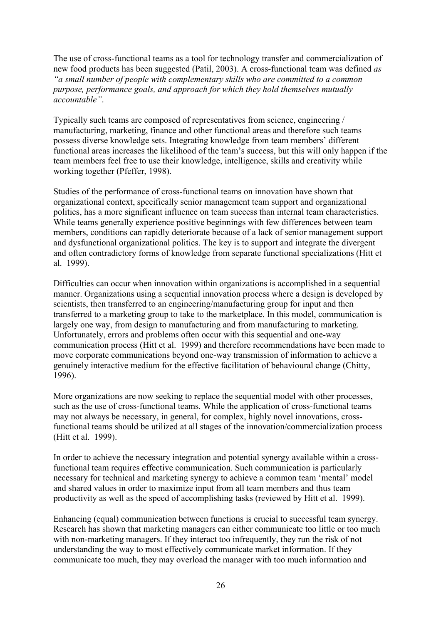The use of cross-functional teams as a tool for technology transfer and commercialization of new food products has been suggested (Patil, 2003). A cross-functional team was defined *as "a small number of people with complementary skills who are committed to a common purpose, performance goals, and approach for which they hold themselves mutually accountable"*.

Typically such teams are composed of representatives from science, engineering / manufacturing, marketing, finance and other functional areas and therefore such teams possess diverse knowledge sets. Integrating knowledge from team members' different functional areas increases the likelihood of the team's success, but this will only happen if the team members feel free to use their knowledge, intelligence, skills and creativity while working together (Pfeffer, 1998).

Studies of the performance of cross-functional teams on innovation have shown that organizational context, specifically senior management team support and organizational politics, has a more significant influence on team success than internal team characteristics. While teams generally experience positive beginnings with few differences between team members, conditions can rapidly deteriorate because of a lack of senior management support and dysfunctional organizational politics. The key is to support and integrate the divergent and often contradictory forms of knowledge from separate functional specializations (Hitt et al. 1999).

Difficulties can occur when innovation within organizations is accomplished in a sequential manner. Organizations using a sequential innovation process where a design is developed by scientists, then transferred to an engineering/manufacturing group for input and then transferred to a marketing group to take to the marketplace. In this model, communication is largely one way, from design to manufacturing and from manufacturing to marketing. Unfortunately, errors and problems often occur with this sequential and one-way communication process (Hitt et al. 1999) and therefore recommendations have been made to move corporate communications beyond one-way transmission of information to achieve a genuinely interactive medium for the effective facilitation of behavioural change (Chitty, 1996).

More organizations are now seeking to replace the sequential model with other processes, such as the use of cross-functional teams. While the application of cross-functional teams may not always be necessary, in general, for complex, highly novel innovations, crossfunctional teams should be utilized at all stages of the innovation/commercialization process (Hitt et al. 1999).

In order to achieve the necessary integration and potential synergy available within a crossfunctional team requires effective communication. Such communication is particularly necessary for technical and marketing synergy to achieve a common team 'mental' model and shared values in order to maximize input from all team members and thus team productivity as well as the speed of accomplishing tasks (reviewed by Hitt et al. 1999).

Enhancing (equal) communication between functions is crucial to successful team synergy. Research has shown that marketing managers can either communicate too little or too much with non-marketing managers. If they interact too infrequently, they run the risk of not understanding the way to most effectively communicate market information. If they communicate too much, they may overload the manager with too much information and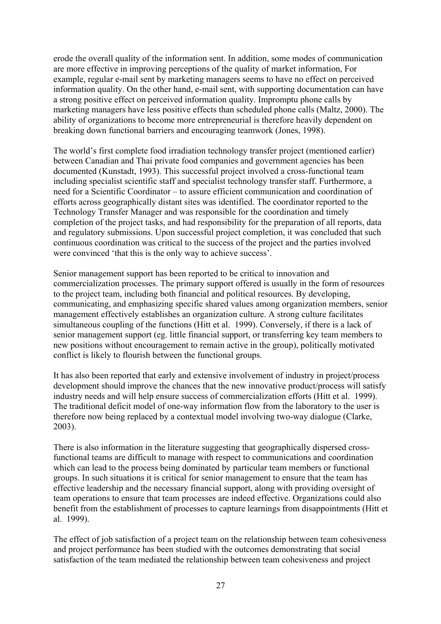erode the overall quality of the information sent. In addition, some modes of communication are more effective in improving perceptions of the quality of market information, For example, regular e-mail sent by marketing managers seems to have no effect on perceived information quality. On the other hand, e-mail sent, with supporting documentation can have a strong positive effect on perceived information quality. Impromptu phone calls by marketing managers have less positive effects than scheduled phone calls (Maltz, 2000). The ability of organizations to become more entrepreneurial is therefore heavily dependent on breaking down functional barriers and encouraging teamwork (Jones, 1998).

The world's first complete food irradiation technology transfer project (mentioned earlier) between Canadian and Thai private food companies and government agencies has been documented (Kunstadt, 1993). This successful project involved a cross-functional team including specialist scientific staff and specialist technology transfer staff. Furthermore, a need for a Scientific Coordinator – to assure efficient communication and coordination of efforts across geographically distant sites was identified. The coordinator reported to the Technology Transfer Manager and was responsible for the coordination and timely completion of the project tasks, and had responsibility for the preparation of all reports, data and regulatory submissions. Upon successful project completion, it was concluded that such continuous coordination was critical to the success of the project and the parties involved were convinced 'that this is the only way to achieve success'.

Senior management support has been reported to be critical to innovation and commercialization processes. The primary support offered is usually in the form of resources to the project team, including both financial and political resources. By developing, communicating, and emphasizing specific shared values among organization members, senior management effectively establishes an organization culture. A strong culture facilitates simultaneous coupling of the functions (Hitt et al. 1999). Conversely, if there is a lack of senior management support (eg. little financial support, or transferring key team members to new positions without encouragement to remain active in the group), politically motivated conflict is likely to flourish between the functional groups.

It has also been reported that early and extensive involvement of industry in project/process development should improve the chances that the new innovative product/process will satisfy industry needs and will help ensure success of commercialization efforts (Hitt et al. 1999). The traditional deficit model of one-way information flow from the laboratory to the user is therefore now being replaced by a contextual model involving two-way dialogue (Clarke, 2003).

There is also information in the literature suggesting that geographically dispersed crossfunctional teams are difficult to manage with respect to communications and coordination which can lead to the process being dominated by particular team members or functional groups. In such situations it is critical for senior management to ensure that the team has effective leadership and the necessary financial support, along with providing oversight of team operations to ensure that team processes are indeed effective. Organizations could also benefit from the establishment of processes to capture learnings from disappointments (Hitt et al. 1999).

The effect of job satisfaction of a project team on the relationship between team cohesiveness and project performance has been studied with the outcomes demonstrating that social satisfaction of the team mediated the relationship between team cohesiveness and project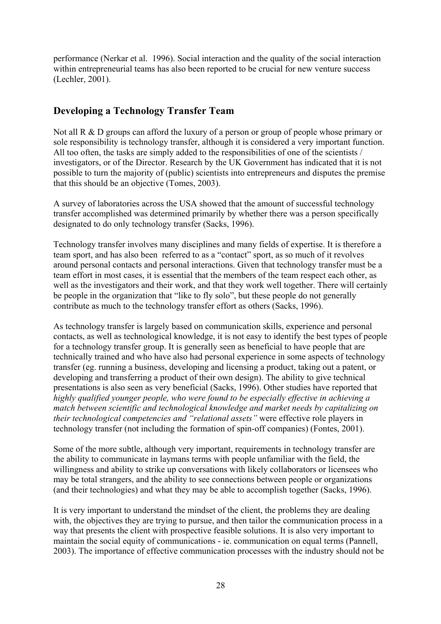<span id="page-27-0"></span>performance (Nerkar et al. 1996). Social interaction and the quality of the social interaction within entrepreneurial teams has also been reported to be crucial for new venture success (Lechler, 2001).

# **Developing a Technology Transfer Team**

Not all R & D groups can afford the luxury of a person or group of people whose primary or sole responsibility is technology transfer, although it is considered a very important function. All too often, the tasks are simply added to the responsibilities of one of the scientists / investigators, or of the Director. Research by the UK Government has indicated that it is not possible to turn the majority of (public) scientists into entrepreneurs and disputes the premise that this should be an objective (Tomes, 2003).

A survey of laboratories across the USA showed that the amount of successful technology transfer accomplished was determined primarily by whether there was a person specifically designated to do only technology transfer (Sacks, 1996).

Technology transfer involves many disciplines and many fields of expertise. It is therefore a team sport, and has also been referred to as a "contact" sport, as so much of it revolves around personal contacts and personal interactions. Given that technology transfer must be a team effort in most cases, it is essential that the members of the team respect each other, as well as the investigators and their work, and that they work well together. There will certainly be people in the organization that "like to fly solo", but these people do not generally contribute as much to the technology transfer effort as others (Sacks, 1996).

As technology transfer is largely based on communication skills, experience and personal contacts, as well as technological knowledge, it is not easy to identify the best types of people for a technology transfer group. It is generally seen as beneficial to have people that are technically trained and who have also had personal experience in some aspects of technology transfer (eg. running a business, developing and licensing a product, taking out a patent, or developing and transferring a product of their own design). The ability to give technical presentations is also seen as very beneficial (Sacks, 1996). Other studies have reported that *highly qualified younger people, who were found to be especially effective in achieving a match between scientific and technological knowledge and market needs by capitalizing on their technological competencies and "relational assets"* were effective role players in technology transfer (not including the formation of spin-off companies) (Fontes, 2001).

Some of the more subtle, although very important, requirements in technology transfer are the ability to communicate in laymans terms with people unfamiliar with the field, the willingness and ability to strike up conversations with likely collaborators or licensees who may be total strangers, and the ability to see connections between people or organizations (and their technologies) and what they may be able to accomplish together (Sacks, 1996).

It is very important to understand the mindset of the client, the problems they are dealing with, the objectives they are trying to pursue, and then tailor the communication process in a way that presents the client with prospective feasible solutions. It is also very important to maintain the social equity of communications - ie. communication on equal terms (Pannell, 2003). The importance of effective communication processes with the industry should not be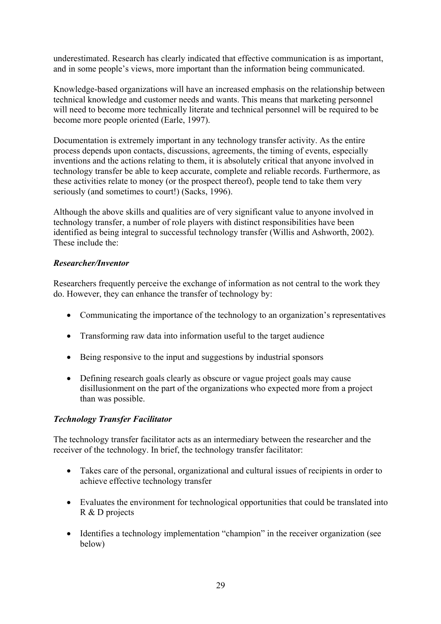underestimated. Research has clearly indicated that effective communication is as important, and in some people's views, more important than the information being communicated.

Knowledge-based organizations will have an increased emphasis on the relationship between technical knowledge and customer needs and wants. This means that marketing personnel will need to become more technically literate and technical personnel will be required to be become more people oriented (Earle, 1997).

Documentation is extremely important in any technology transfer activity. As the entire process depends upon contacts, discussions, agreements, the timing of events, especially inventions and the actions relating to them, it is absolutely critical that anyone involved in technology transfer be able to keep accurate, complete and reliable records. Furthermore, as these activities relate to money (or the prospect thereof), people tend to take them very seriously (and sometimes to court!) (Sacks, 1996).

Although the above skills and qualities are of very significant value to anyone involved in technology transfer, a number of role players with distinct responsibilities have been identified as being integral to successful technology transfer (Willis and Ashworth, 2002). These include the:

#### *Researcher/Inventor*

Researchers frequently perceive the exchange of information as not central to the work they do. However, they can enhance the transfer of technology by:

- Communicating the importance of the technology to an organization's representatives
- Transforming raw data into information useful to the target audience
- Being responsive to the input and suggestions by industrial sponsors
- Defining research goals clearly as obscure or vague project goals may cause disillusionment on the part of the organizations who expected more from a project than was possible.

#### *Technology Transfer Facilitator*

The technology transfer facilitator acts as an intermediary between the researcher and the receiver of the technology. In brief, the technology transfer facilitator:

- Takes care of the personal, organizational and cultural issues of recipients in order to achieve effective technology transfer
- Evaluates the environment for technological opportunities that could be translated into R & D projects
- Identifies a technology implementation "champion" in the receiver organization (see below)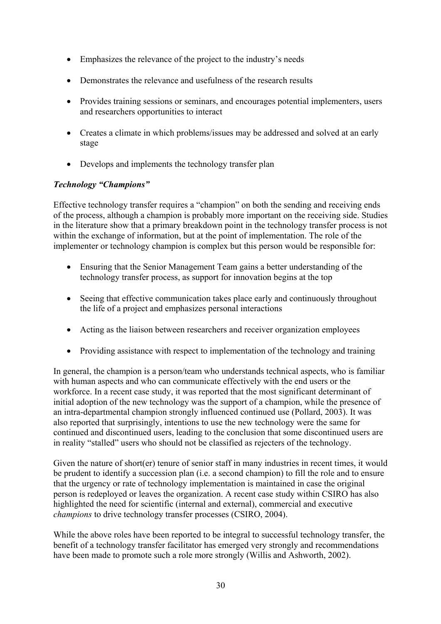- Emphasizes the relevance of the project to the industry's needs
- Demonstrates the relevance and usefulness of the research results
- Provides training sessions or seminars, and encourages potential implementers, users and researchers opportunities to interact
- Creates a climate in which problems/issues may be addressed and solved at an early stage
- Develops and implements the technology transfer plan

#### *Technology "Champions"*

Effective technology transfer requires a "champion" on both the sending and receiving ends of the process, although a champion is probably more important on the receiving side. Studies in the literature show that a primary breakdown point in the technology transfer process is not within the exchange of information, but at the point of implementation. The role of the implementer or technology champion is complex but this person would be responsible for:

- Ensuring that the Senior Management Team gains a better understanding of the technology transfer process, as support for innovation begins at the top
- Seeing that effective communication takes place early and continuously throughout the life of a project and emphasizes personal interactions
- Acting as the liaison between researchers and receiver organization employees
- Providing assistance with respect to implementation of the technology and training

In general, the champion is a person/team who understands technical aspects, who is familiar with human aspects and who can communicate effectively with the end users or the workforce. In a recent case study, it was reported that the most significant determinant of initial adoption of the new technology was the support of a champion, while the presence of an intra-departmental champion strongly influenced continued use (Pollard, 2003). It was also reported that surprisingly, intentions to use the new technology were the same for continued and discontinued users, leading to the conclusion that some discontinued users are in reality "stalled" users who should not be classified as rejecters of the technology.

Given the nature of short(er) tenure of senior staff in many industries in recent times, it would be prudent to identify a succession plan (i.e. a second champion) to fill the role and to ensure that the urgency or rate of technology implementation is maintained in case the original person is redeployed or leaves the organization. A recent case study within CSIRO has also highlighted the need for scientific (internal and external), commercial and executive *champions* to drive technology transfer processes (CSIRO, 2004).

While the above roles have been reported to be integral to successful technology transfer, the benefit of a technology transfer facilitator has emerged very strongly and recommendations have been made to promote such a role more strongly (Willis and Ashworth, 2002).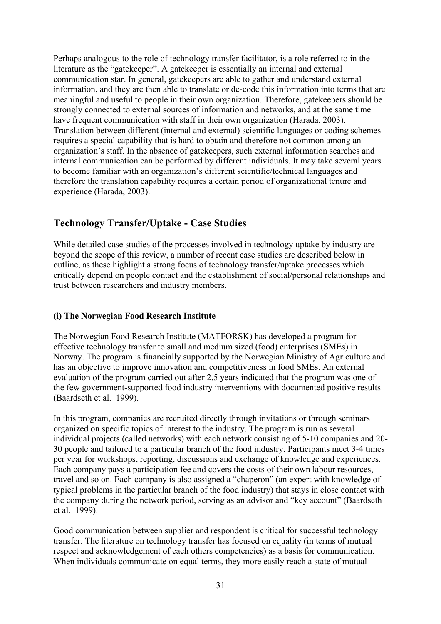<span id="page-30-0"></span>Perhaps analogous to the role of technology transfer facilitator, is a role referred to in the literature as the "gatekeeper". A gatekeeper is essentially an internal and external communication star. In general, gatekeepers are able to gather and understand external information, and they are then able to translate or de-code this information into terms that are meaningful and useful to people in their own organization. Therefore, gatekeepers should be strongly connected to external sources of information and networks, and at the same time have frequent communication with staff in their own organization (Harada, 2003). Translation between different (internal and external) scientific languages or coding schemes requires a special capability that is hard to obtain and therefore not common among an organization's staff. In the absence of gatekeepers, such external information searches and internal communication can be performed by different individuals. It may take several years to become familiar with an organization's different scientific/technical languages and therefore the translation capability requires a certain period of organizational tenure and experience (Harada, 2003).

# **Technology Transfer/Uptake - Case Studies**

While detailed case studies of the processes involved in technology uptake by industry are beyond the scope of this review, a number of recent case studies are described below in outline, as these highlight a strong focus of technology transfer/uptake processes which critically depend on people contact and the establishment of social/personal relationships and trust between researchers and industry members.

## **(i) The Norwegian Food Research Institute**

The Norwegian Food Research Institute (MATFORSK) has developed a program for effective technology transfer to small and medium sized (food) enterprises (SMEs) in Norway. The program is financially supported by the Norwegian Ministry of Agriculture and has an objective to improve innovation and competitiveness in food SMEs. An external evaluation of the program carried out after 2.5 years indicated that the program was one of the few government-supported food industry interventions with documented positive results (Baardseth et al. 1999).

In this program, companies are recruited directly through invitations or through seminars organized on specific topics of interest to the industry. The program is run as several individual projects (called networks) with each network consisting of 5-10 companies and 20- 30 people and tailored to a particular branch of the food industry. Participants meet 3-4 times per year for workshops, reporting, discussions and exchange of knowledge and experiences. Each company pays a participation fee and covers the costs of their own labour resources, travel and so on. Each company is also assigned a "chaperon" (an expert with knowledge of typical problems in the particular branch of the food industry) that stays in close contact with the company during the network period, serving as an advisor and "key account" (Baardseth et al. 1999).

Good communication between supplier and respondent is critical for successful technology transfer. The literature on technology transfer has focused on equality (in terms of mutual respect and acknowledgement of each others competencies) as a basis for communication. When individuals communicate on equal terms, they more easily reach a state of mutual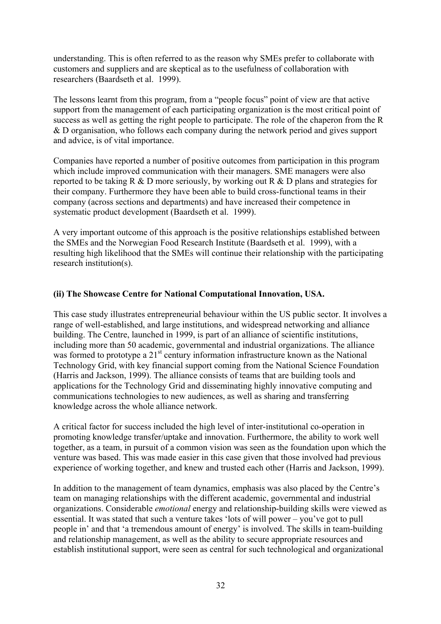<span id="page-31-0"></span>understanding. This is often referred to as the reason why SMEs prefer to collaborate with customers and suppliers and are skeptical as to the usefulness of collaboration with researchers (Baardseth et al. 1999).

The lessons learnt from this program, from a "people focus" point of view are that active support from the management of each participating organization is the most critical point of success as well as getting the right people to participate. The role of the chaperon from the R & D organisation, who follows each company during the network period and gives support and advice, is of vital importance.

Companies have reported a number of positive outcomes from participation in this program which include improved communication with their managers. SME managers were also reported to be taking R & D more seriously, by working out R & D plans and strategies for their company. Furthermore they have been able to build cross-functional teams in their company (across sections and departments) and have increased their competence in systematic product development (Baardseth et al. 1999).

A very important outcome of this approach is the positive relationships established between the SMEs and the Norwegian Food Research Institute (Baardseth et al. 1999), with a resulting high likelihood that the SMEs will continue their relationship with the participating research institution(s).

#### **(ii) The Showcase Centre for National Computational Innovation, USA.**

This case study illustrates entrepreneurial behaviour within the US public sector. It involves a range of well-established, and large institutions, and widespread networking and alliance building. The Centre, launched in 1999, is part of an alliance of scientific institutions, including more than 50 academic, governmental and industrial organizations. The alliance was formed to prototype a 21<sup>st</sup> century information infrastructure known as the National Technology Grid, with key financial support coming from the National Science Foundation (Harris and Jackson, 1999). The alliance consists of teams that are building tools and applications for the Technology Grid and disseminating highly innovative computing and communications technologies to new audiences, as well as sharing and transferring knowledge across the whole alliance network.

A critical factor for success included the high level of inter-institutional co-operation in promoting knowledge transfer/uptake and innovation. Furthermore, the ability to work well together, as a team, in pursuit of a common vision was seen as the foundation upon which the venture was based. This was made easier in this case given that those involved had previous experience of working together, and knew and trusted each other (Harris and Jackson, 1999).

In addition to the management of team dynamics, emphasis was also placed by the Centre's team on managing relationships with the different academic, governmental and industrial organizations. Considerable *emotional* energy and relationship-building skills were viewed as essential. It was stated that such a venture takes 'lots of will power – you've got to pull people in' and that 'a tremendous amount of energy' is involved. The skills in team-building and relationship management, as well as the ability to secure appropriate resources and establish institutional support, were seen as central for such technological and organizational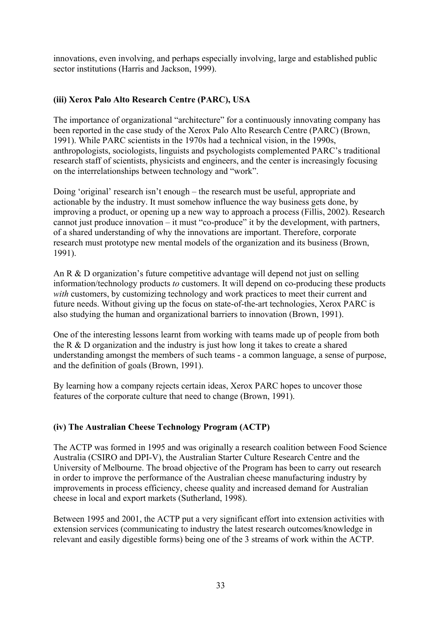<span id="page-32-0"></span>innovations, even involving, and perhaps especially involving, large and established public sector institutions (Harris and Jackson, 1999).

### **(iii) Xerox Palo Alto Research Centre (PARC), USA**

The importance of organizational "architecture" for a continuously innovating company has been reported in the case study of the Xerox Palo Alto Research Centre (PARC) (Brown, 1991). While PARC scientists in the 1970s had a technical vision, in the 1990s, anthropologists, sociologists, linguists and psychologists complemented PARC's traditional research staff of scientists, physicists and engineers, and the center is increasingly focusing on the interrelationships between technology and "work".

Doing 'original' research isn't enough – the research must be useful, appropriate and actionable by the industry. It must somehow influence the way business gets done, by improving a product, or opening up a new way to approach a process (Fillis, 2002). Research cannot just produce innovation – it must "co-produce" it by the development, with partners, of a shared understanding of why the innovations are important. Therefore, corporate research must prototype new mental models of the organization and its business (Brown, 1991).

An R & D organization's future competitive advantage will depend not just on selling information/technology products *to* customers. It will depend on co-producing these products *with* customers, by customizing technology and work practices to meet their current and future needs. Without giving up the focus on state-of-the-art technologies, Xerox PARC is also studying the human and organizational barriers to innovation (Brown, 1991).

One of the interesting lessons learnt from working with teams made up of people from both the R & D organization and the industry is just how long it takes to create a shared understanding amongst the members of such teams - a common language, a sense of purpose, and the definition of goals (Brown, 1991).

By learning how a company rejects certain ideas, Xerox PARC hopes to uncover those features of the corporate culture that need to change (Brown, 1991).

## **(iv) The Australian Cheese Technology Program (ACTP)**

The ACTP was formed in 1995 and was originally a research coalition between Food Science Australia (CSIRO and DPI-V), the Australian Starter Culture Research Centre and the University of Melbourne. The broad objective of the Program has been to carry out research in order to improve the performance of the Australian cheese manufacturing industry by improvements in process efficiency, cheese quality and increased demand for Australian cheese in local and export markets (Sutherland, 1998).

Between 1995 and 2001, the ACTP put a very significant effort into extension activities with extension services (communicating to industry the latest research outcomes/knowledge in relevant and easily digestible forms) being one of the 3 streams of work within the ACTP.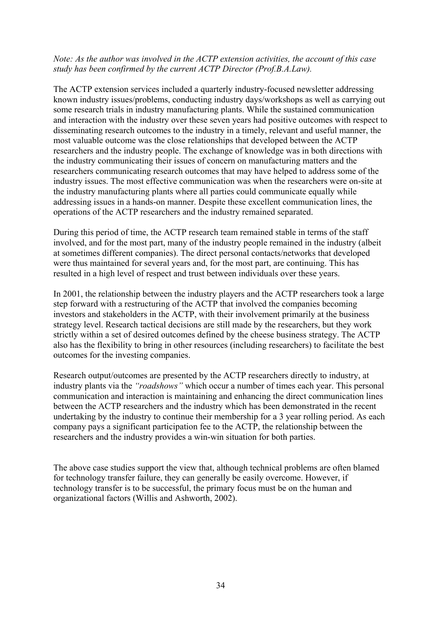#### *Note: As the author was involved in the ACTP extension activities, the account of this case study has been confirmed by the current ACTP Director (Prof.B.A.Law).*

The ACTP extension services included a quarterly industry-focused newsletter addressing known industry issues/problems, conducting industry days/workshops as well as carrying out some research trials in industry manufacturing plants. While the sustained communication and interaction with the industry over these seven years had positive outcomes with respect to disseminating research outcomes to the industry in a timely, relevant and useful manner, the most valuable outcome was the close relationships that developed between the ACTP researchers and the industry people. The exchange of knowledge was in both directions with the industry communicating their issues of concern on manufacturing matters and the researchers communicating research outcomes that may have helped to address some of the industry issues. The most effective communication was when the researchers were on-site at the industry manufacturing plants where all parties could communicate equally while addressing issues in a hands-on manner. Despite these excellent communication lines, the operations of the ACTP researchers and the industry remained separated.

During this period of time, the ACTP research team remained stable in terms of the staff involved, and for the most part, many of the industry people remained in the industry (albeit at sometimes different companies). The direct personal contacts/networks that developed were thus maintained for several years and, for the most part, are continuing. This has resulted in a high level of respect and trust between individuals over these years.

In 2001, the relationship between the industry players and the ACTP researchers took a large step forward with a restructuring of the ACTP that involved the companies becoming investors and stakeholders in the ACTP, with their involvement primarily at the business strategy level. Research tactical decisions are still made by the researchers, but they work strictly within a set of desired outcomes defined by the cheese business strategy. The ACTP also has the flexibility to bring in other resources (including researchers) to facilitate the best outcomes for the investing companies.

Research output/outcomes are presented by the ACTP researchers directly to industry, at industry plants via the *"roadshows"* which occur a number of times each year. This personal communication and interaction is maintaining and enhancing the direct communication lines between the ACTP researchers and the industry which has been demonstrated in the recent undertaking by the industry to continue their membership for a 3 year rolling period. As each company pays a significant participation fee to the ACTP, the relationship between the researchers and the industry provides a win-win situation for both parties.

The above case studies support the view that, although technical problems are often blamed for technology transfer failure, they can generally be easily overcome. However, if technology transfer is to be successful, the primary focus must be on the human and organizational factors (Willis and Ashworth, 2002).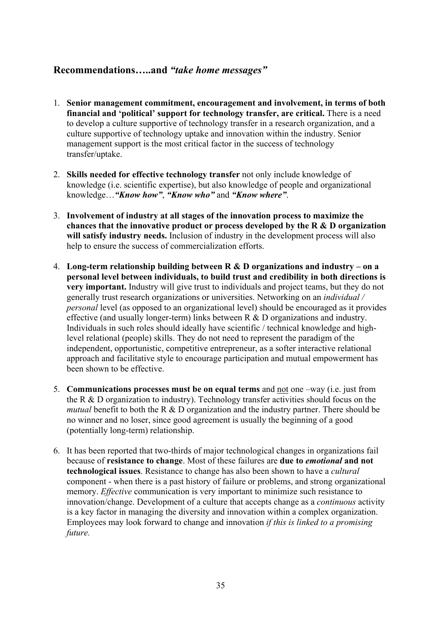## <span id="page-34-0"></span>**Recommendations…..and** *"take home messages"*

- 1. **Senior management commitment, encouragement and involvement, in terms of both financial and 'political' support for technology transfer, are critical.** There is a need to develop a culture supportive of technology transfer in a research organization, and a culture supportive of technology uptake and innovation within the industry. Senior management support is the most critical factor in the success of technology transfer/uptake.
- 2. **Skills needed for effective technology transfer** not only include knowledge of knowledge (i.e. scientific expertise), but also knowledge of people and organizational knowledge…*"Know how"*, *"Know who"* and *"Know where"*.
- 3. **Involvement of industry at all stages of the innovation process to maximize the chances that the innovative product or process developed by the R & D organization**  will satisfy industry needs. Inclusion of industry in the development process will also help to ensure the success of commercialization efforts.
- 4. **Long-term relationship building between R & D organizations and industry on a personal level between individuals, to build trust and credibility in both directions is very important.** Industry will give trust to individuals and project teams, but they do not generally trust research organizations or universities. Networking on an *individual / personal* level (as opposed to an organizational level) should be encouraged as it provides effective (and usually longer-term) links between R & D organizations and industry. Individuals in such roles should ideally have scientific / technical knowledge and highlevel relational (people) skills. They do not need to represent the paradigm of the independent, opportunistic, competitive entrepreneur, as a softer interactive relational approach and facilitative style to encourage participation and mutual empowerment has been shown to be effective.
- 5. **Communications processes must be on equal terms** and not one –way (i.e. just from the R & D organization to industry). Technology transfer activities should focus on the *mutual* benefit to both the R & D organization and the industry partner. There should be no winner and no loser, since good agreement is usually the beginning of a good (potentially long-term) relationship.
- 6. It has been reported that two-thirds of major technological changes in organizations fail because of **resistance to change**. Most of these failures are **due to** *emotional* **and not technological issues**. Resistance to change has also been shown to have a *cultural*  component - when there is a past history of failure or problems, and strong organizational memory. *Effective* communication is very important to minimize such resistance to innovation/change. Development of a culture that accepts change as a *continuous* activity is a key factor in managing the diversity and innovation within a complex organization. Employees may look forward to change and innovation *if this is linked to a promising future.*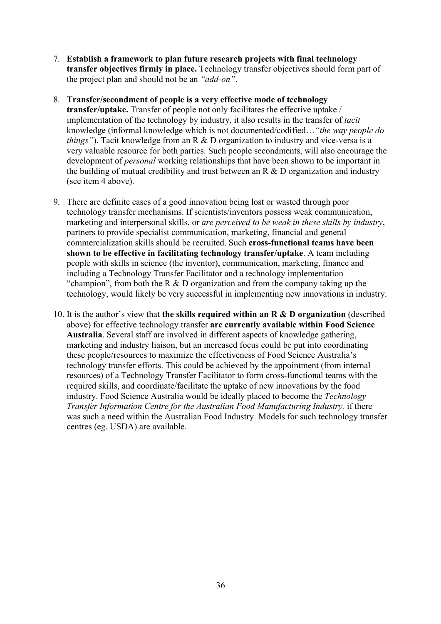- 7. **Establish a framework to plan future research projects with final technology transfer objectives firmly in place.** Technology transfer objectives should form part of the project plan and should not be an *"add-on"*.
- 8. **Transfer/secondment of people is a very effective mode of technology transfer/uptake.** Transfer of people not only facilitates the effective uptake / implementation of the technology by industry, it also results in the transfer of *tacit* knowledge (informal knowledge which is not documented/codified…*"the way people do things"*). Tacit knowledge from an R & D organization to industry and vice-versa is a very valuable resource for both parties. Such people secondments, will also encourage the development of *personal* working relationships that have been shown to be important in the building of mutual credibility and trust between an R  $\&$  D organization and industry (see item 4 above).
- 9. There are definite cases of a good innovation being lost or wasted through poor technology transfer mechanisms. If scientists/inventors possess weak communication, marketing and interpersonal skills, or *are perceived to be weak in these skills by industry*, partners to provide specialist communication, marketing, financial and general commercialization skills should be recruited. Such **cross-functional teams have been shown to be effective in facilitating technology transfer/uptake**. A team including people with skills in science (the inventor), communication, marketing, finance and including a Technology Transfer Facilitator and a technology implementation "champion", from both the R  $\&$  D organization and from the company taking up the technology, would likely be very successful in implementing new innovations in industry.
- 10. It is the author's view that **the skills required within an R & D organization** (described above) for effective technology transfer **are currently available within Food Science Australia**. Several staff are involved in different aspects of knowledge gathering, marketing and industry liaison, but an increased focus could be put into coordinating these people/resources to maximize the effectiveness of Food Science Australia's technology transfer efforts. This could be achieved by the appointment (from internal resources) of a Technology Transfer Facilitator to form cross-functional teams with the required skills, and coordinate/facilitate the uptake of new innovations by the food industry. Food Science Australia would be ideally placed to become the *Technology Transfer Information Centre for the Australian Food Manufacturing Industry,* if there was such a need within the Australian Food Industry. Models for such technology transfer centres (eg. USDA) are available.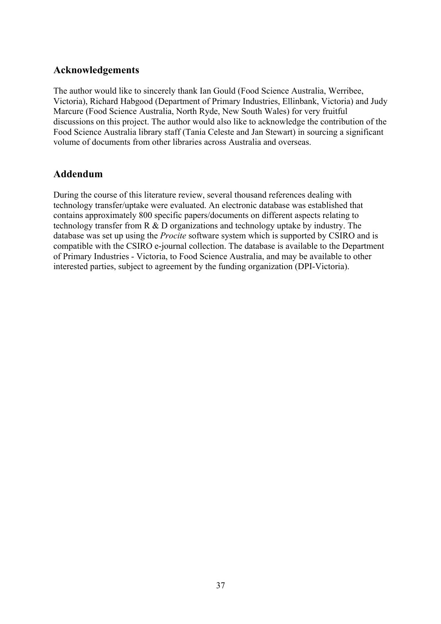## <span id="page-36-0"></span>**Acknowledgements**

The author would like to sincerely thank Ian Gould (Food Science Australia, Werribee, Victoria), Richard Habgood (Department of Primary Industries, Ellinbank, Victoria) and Judy Marcure (Food Science Australia, North Ryde, New South Wales) for very fruitful discussions on this project. The author would also like to acknowledge the contribution of the Food Science Australia library staff (Tania Celeste and Jan Stewart) in sourcing a significant volume of documents from other libraries across Australia and overseas.

## **Addendum**

During the course of this literature review, several thousand references dealing with technology transfer/uptake were evaluated. An electronic database was established that contains approximately 800 specific papers/documents on different aspects relating to technology transfer from R & D organizations and technology uptake by industry. The database was set up using the *Procite* software system which is supported by CSIRO and is compatible with the CSIRO e-journal collection. The database is available to the Department of Primary Industries - Victoria, to Food Science Australia, and may be available to other interested parties, subject to agreement by the funding organization (DPI-Victoria).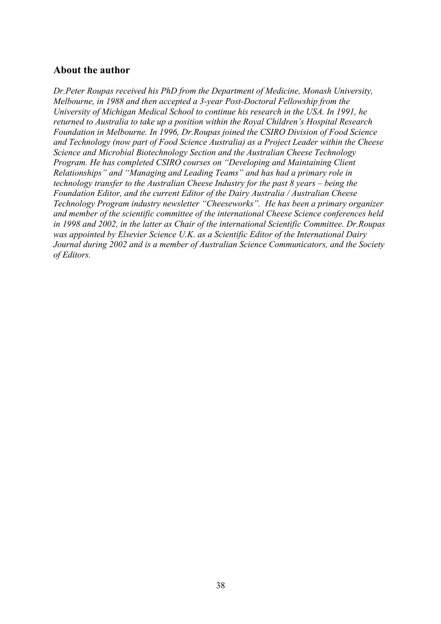### <span id="page-37-0"></span>**About the author**

*Dr.Peter Roupas received his PhD from the Department of Medicine, Monash University, Melbourne, in 1988 and then accepted a 3-year Post-Doctoral Fellowship from the University of Michigan Medical School to continue his research in the USA. In 1991, he returned to Australia to take up a position within the Royal Children's Hospital Research Foundation in Melbourne. In 1996, Dr.Roupas joined the CSIRO Division of Food Science and Technology (now part of Food Science Australia) as a Project Leader within the Cheese Science and Microbial Biotechnology Section and the Australian Cheese Technology Program. He has completed CSIRO courses on "Developing and Maintaining Client Relationships" and "Managing and Leading Teams" and has had a primary role in technology transfer to the Australian Cheese Industry for the past 8 years – being the Foundation Editor, and the current Editor of the Dairy Australia / Australian Cheese Technology Program industry newsletter "Cheeseworks". He has been a primary organizer and member of the scientific committee of the international Cheese Science conferences held in 1998 and 2002, in the latter as Chair of the international Scientific Committee. Dr.Roupas was appointed by Elsevier Science U.K. as a Scientific Editor of the International Dairy Journal during 2002 and is a member of Australian Science Communicators, and the Society of Editors.*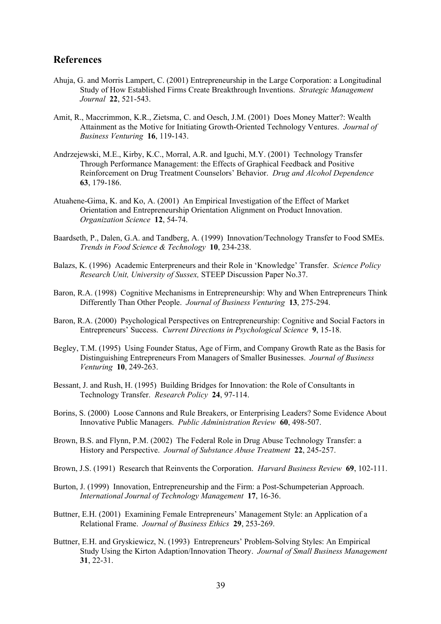#### <span id="page-38-0"></span>**References**

- Ahuja, G. and Morris Lampert, C. (2001) Entrepreneurship in the Large Corporation: a Longitudinal Study of How Established Firms Create Breakthrough Inventions. *Strategic Management Journal* **22**, 521-543.
- Amit, R., Maccrimmon, K.R., Zietsma, C. and Oesch, J.M. (2001) Does Money Matter?: Wealth Attainment as the Motive for Initiating Growth-Oriented Technology Ventures. *Journal of Business Venturing* **16**, 119-143.
- Andrzejewski, M.E., Kirby, K.C., Morral, A.R. and Iguchi, M.Y. (2001) Technology Transfer Through Performance Management: the Effects of Graphical Feedback and Positive Reinforcement on Drug Treatment Counselors' Behavior. *Drug and Alcohol Dependence* **63**, 179-186.
- Atuahene-Gima, K. and Ko, A. (2001) An Empirical Investigation of the Effect of Market Orientation and Entrepreneurship Orientation Alignment on Product Innovation. *Organization Science* **12**, 54-74.
- Baardseth, P., Dalen, G.A. and Tandberg, A. (1999) Innovation/Technology Transfer to Food SMEs. *Trends in Food Science & Technology* **10**, 234-238.
- Balazs, K. (1996) Academic Enterpreneurs and their Role in 'Knowledge' Transfer. *Science Policy Research Unit, University of Sussex,* STEEP Discussion Paper No.37.
- Baron, R.A. (1998) Cognitive Mechanisms in Entrepreneurship: Why and When Entrepreneurs Think Differently Than Other People. *Journal of Business Venturing* **13**, 275-294.
- Baron, R.A. (2000) Psychological Perspectives on Entrepreneurship: Cognitive and Social Factors in Entrepreneurs' Success. *Current Directions in Psychological Science* **9**, 15-18.
- Begley, T.M. (1995) Using Founder Status, Age of Firm, and Company Growth Rate as the Basis for Distinguishing Entrepreneurs From Managers of Smaller Businesses. *Journal of Business Venturing* **10**, 249-263.
- Bessant, J. and Rush, H. (1995) Building Bridges for Innovation: the Role of Consultants in Technology Transfer. *Research Policy* **24**, 97-114.
- Borins, S. (2000) Loose Cannons and Rule Breakers, or Enterprising Leaders? Some Evidence About Innovative Public Managers. *Public Administration Review* **60**, 498-507.
- Brown, B.S. and Flynn, P.M. (2002) The Federal Role in Drug Abuse Technology Transfer: a History and Perspective. *Journal of Substance Abuse Treatment* **22**, 245-257.
- Brown, J.S. (1991) Research that Reinvents the Corporation. *Harvard Business Review* **69**, 102-111.
- Burton, J. (1999) Innovation, Entrepreneurship and the Firm: a Post-Schumpeterian Approach. *International Journal of Technology Management* **17**, 16-36.
- Buttner, E.H. (2001) Examining Female Entrepreneurs' Management Style: an Application of a Relational Frame. *Journal of Business Ethics* **29**, 253-269.
- Buttner, E.H. and Gryskiewicz, N. (1993) Entrepreneurs' Problem-Solving Styles: An Empirical Study Using the Kirton Adaption/Innovation Theory. *Journal of Small Business Management* **31**, 22-31.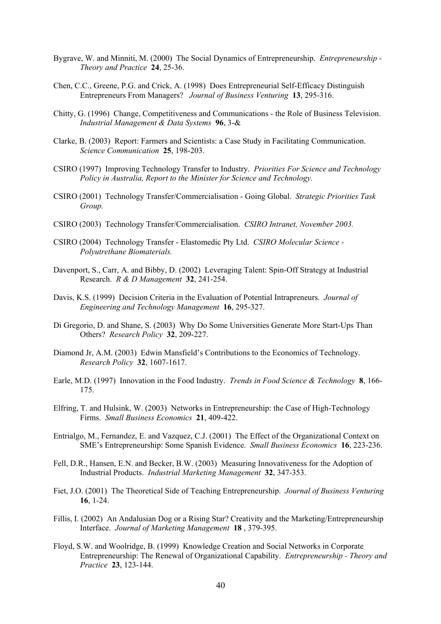- Bygrave, W. and Minniti, M. (2000) The Social Dynamics of Entrepreneurship. *Entrepreneurship Theory and Practice* **24**, 25-36.
- Chen, C.C., Greene, P.G. and Crick, A. (1998) Does Entrepreneurial Self-Efficacy Distinguish Entrepreneurs From Managers? *Journal of Business Venturing* **13**, 295-316.
- Chitty, G. (1996) Change, Competitiveness and Communications the Role of Business Television. *Industrial Management & Data Systems* **96**, 3-&
- Clarke, B. (2003) Report: Farmers and Scientists: a Case Study in Facilitating Communication. *Science Communication* **25**, 198-203.
- CSIRO (1997) Improving Technology Transfer to Industry. *Priorities For Science and Technology Policy in Australia, Report to the Minister for Science and Technology.*
- CSIRO (2001) Technology Transfer/Commercialisation Going Global. *Strategic Priorities Task Group.*
- CSIRO (2003) Technology Transfer/Commercialisation. *CSIRO Intranet, November 2003.*
- CSIRO (2004) Technology Transfer Elastomedic Pty Ltd. *CSIRO Molecular Science Polyutrethane Biomaterials.*
- Davenport, S., Carr, A. and Bibby, D. (2002) Leveraging Talent: Spin-Off Strategy at Industrial Research. *R & D Management* **32**, 241-254.
- Davis, K.S. (1999) Decision Criteria in the Evaluation of Potential Intrapreneurs. *Journal of Engineering and Technology Management* **16**, 295-327.
- Di Gregorio, D. and Shane, S. (2003) Why Do Some Universities Generate More Start-Ups Than Others? *Research Policy* **32**, 209-227.
- Diamond Jr, A.M. (2003) Edwin Mansfield's Contributions to the Economics of Technology. *Research Policy* **32**, 1607-1617.
- Earle, M.D. (1997) Innovation in the Food Industry. *Trends in Food Science & Technology* **8**, 166- 175.
- Elfring, T. and Hulsink, W. (2003) Networks in Entrepreneurship: the Case of High-Technology Firms. *Small Business Economics* **21**, 409-422.
- Entrialgo, M., Fernandez, E. and Vazquez, C.J. (2001) The Effect of the Organizational Context on SME's Entrepreneurship: Some Spanish Evidence. *Small Business Economics* **16**, 223-236.
- Fell, D.R., Hansen, E.N. and Becker, B.W. (2003) Measuring Innovativeness for the Adoption of Industrial Products. *Industrial Marketing Management* **32**, 347-353.
- Fiet, J.O. (2001) The Theoretical Side of Teaching Entrepreneurship. *Journal of Business Venturing* **16**, 1-24.
- Fillis, I. (2002) An Andalusian Dog or a Rising Star? Creativity and the Marketing/Entrepreneurship Interface. *Journal of Marketing Management* **18** , 379-395.
- Floyd, S.W. and Woolridge, B. (1999) Knowledge Creation and Social Networks in Corporate Entrepreneurship: The Renewal of Organizational Capability. *Entrepreneurship - Theory and Practice* **23**, 123-144.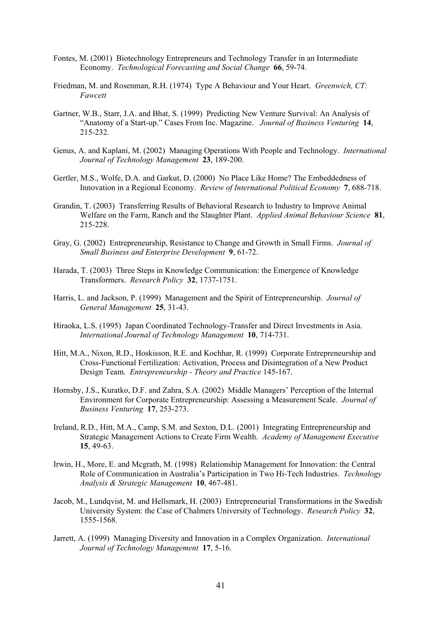- Fontes, M. (2001) Biotechnology Entrepreneurs and Technology Transfer in an Intermediate Economy. *Technological Forecasting and Social Change* **66**, 59-74.
- Friedman, M. and Rosenman, R.H. (1974) Type A Behaviour and Your Heart. *Greenwich, CT: Fawcett*
- Gartner, W.B., Starr, J.A. and Bhat, S. (1999) Predicting New Venture Survival: An Analysis of "Anatomy of a Start-up." Cases From Inc. Magazine. *Journal of Business Venturing* **14**, 215-232.
- Genus, A. and Kaplani, M. (2002) Managing Operations With People and Technology. *International Journal of Technology Management* **23**, 189-200.
- Gertler, M.S., Wolfe, D.A. and Garkut, D. (2000) No Place Like Home? The Embeddedness of Innovation in a Regional Economy. *Review of International Political Economy* **7**, 688-718.
- Grandin, T. (2003) Transferring Results of Behavioral Research to Industry to Improve Animal Welfare on the Farm, Ranch and the Slaughter Plant. *Applied Animal Behaviour Science* **81**, 215-228.
- Gray, G. (2002) Entrepreneurship, Resistance to Change and Growth in Small Firms. *Journal of Small Business and Enterprise Development* **9**, 61-72.
- Harada, T. (2003) Three Steps in Knowledge Communication: the Emergence of Knowledge Transformers. *Research Policy* **32**, 1737-1751.
- Harris, L. and Jackson, P. (1999) Management and the Spirit of Entrepreneurship. *Journal of General Management* **25**, 31-43.
- Hiraoka, L.S. (1995) Japan Coordinated Technology-Transfer and Direct Investments in Asia. *International Journal of Technology Management* **10**, 714-731.
- Hitt, M.A., Nixon, R.D., Hoskisson, R.E. and Kochhar, R. (1999) Corporate Entrepreneurship and Cross-Functional Fertilization: Activation, Process and Disintegration of a New Product Design Team. *Entrepreneurship - Theory and Practice* 145-167.
- Hornsby, J.S., Kuratko, D.F. and Zahra, S.A. (2002) Middle Managers' Perception of the Internal Environment for Corporate Entrepreneurship: Assessing a Measurement Scale. *Journal of Business Venturing* **17**, 253-273.
- Ireland, R.D., Hitt, M.A., Camp, S.M. and Sexton, D.L. (2001) Integrating Entrepreneurship and Strategic Management Actions to Create Firm Wealth. *Academy of Management Executive* **15**, 49-63.
- Irwin, H., More, E. and Mcgrath, M. (1998) Relationship Management for Innovation: the Central Role of Communication in Australia's Participation in Two Hi-Tech Industries. *Technology Analysis & Strategic Management* **10**, 467-481.
- Jacob, M., Lundqvist, M. and Hellsmark, H. (2003) Entrepreneurial Transformations in the Swedish University System: the Case of Chalmers University of Technology. *Research Policy* **32**, 1555-1568.
- Jarrett, A. (1999) Managing Diversity and Innovation in a Complex Organization. *International Journal of Technology Management* **17**, 5-16.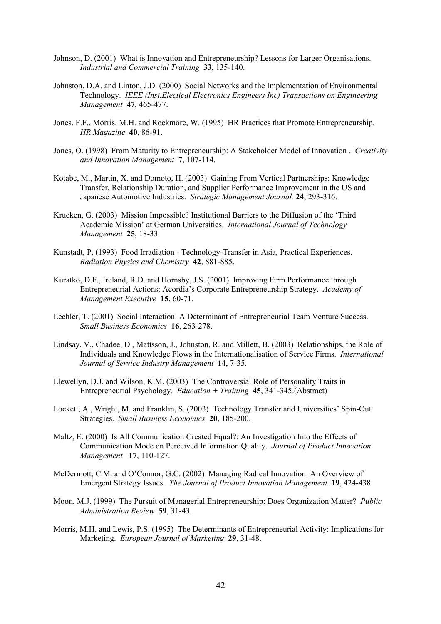- Johnson, D. (2001) What is Innovation and Entrepreneurship? Lessons for Larger Organisations. *Industrial and Commercial Training* **33**, 135-140.
- Johnston, D.A. and Linton, J.D. (2000) Social Networks and the Implementation of Environmental Technology. *IEEE (Inst.Electical Electronics Engineers Inc) Transactions on Engineering Management* **47**, 465-477.
- Jones, F.F., Morris, M.H. and Rockmore, W. (1995) HR Practices that Promote Entrepreneurship. *HR Magazine* **40**, 86-91.
- Jones, O. (1998) From Maturity to Entrepreneurship: A Stakeholder Model of Innovation . *Creativity and Innovation Management* **7**, 107-114.
- Kotabe, M., Martin, X. and Domoto, H. (2003) Gaining From Vertical Partnerships: Knowledge Transfer, Relationship Duration, and Supplier Performance Improvement in the US and Japanese Automotive Industries. *Strategic Management Journal* **24**, 293-316.
- Krucken, G. (2003) Mission Impossible? Institutional Barriers to the Diffusion of the 'Third Academic Mission' at German Universities. *International Journal of Technology Management* **25**, 18-33.
- Kunstadt, P. (1993) Food Irradiation Technology-Transfer in Asia, Practical Experiences. *Radiation Physics and Chemistry* **42**, 881-885.
- Kuratko, D.F., Ireland, R.D. and Hornsby, J.S. (2001) Improving Firm Performance through Entrepreneurial Actions: Acordia's Corporate Entrepreneurship Strategy. *Academy of Management Executive* **15**, 60-71.
- Lechler, T. (2001) Social Interaction: A Determinant of Entrepreneurial Team Venture Success. *Small Business Economics* **16**, 263-278.
- Lindsay, V., Chadee, D., Mattsson, J., Johnston, R. and Millett, B. (2003) Relationships, the Role of Individuals and Knowledge Flows in the Internationalisation of Service Firms. *International Journal of Service Industry Management* **14**, 7-35.
- Llewellyn, D.J. and Wilson, K.M. (2003) The Controversial Role of Personality Traits in Entrepreneurial Psychology. *Education + Training* **45**, 341-345.(Abstract)
- Lockett, A., Wright, M. and Franklin, S. (2003) Technology Transfer and Universities' Spin-Out Strategies. *Small Business Economics* **20**, 185-200.
- Maltz, E. (2000) Is All Communication Created Equal?: An Investigation Into the Effects of Communication Mode on Perceived Information Quality. *Journal of Product Innovation Management* **17**, 110-127.
- McDermott, C.M. and O'Connor, G.C. (2002) Managing Radical Innovation: An Overview of Emergent Strategy Issues. *The Journal of Product Innovation Management* **19**, 424-438.
- Moon, M.J. (1999) The Pursuit of Managerial Entrepreneurship: Does Organization Matter? *Public Administration Review* **59**, 31-43.
- Morris, M.H. and Lewis, P.S. (1995) The Determinants of Entrepreneurial Activity: Implications for Marketing. *European Journal of Marketing* **29**, 31-48.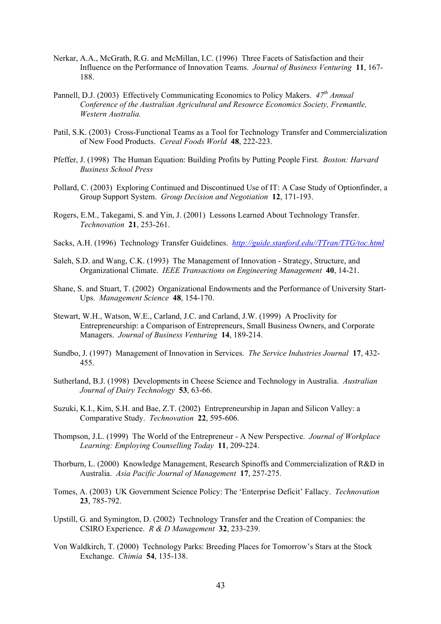- Nerkar, A.A., McGrath, R.G. and McMillan, I.C. (1996) Three Facets of Satisfaction and their Influence on the Performance of Innovation Teams. *Journal of Business Venturing* **11**, 167- 188.
- Pannell, D.J. (2003) Effectively Communicating Economics to Policy Makers. *47th Annual Conference of the Australian Agricultural and Resource Economics Society, Fremantle, Western Australia.*
- Patil, S.K. (2003) Cross-Functional Teams as a Tool for Technology Transfer and Commercialization of New Food Products. *Cereal Foods World* **48**, 222-223.
- Pfeffer, J. (1998) The Human Equation: Building Profits by Putting People First. *Boston: Harvard Business School Press*
- Pollard, C. (2003) Exploring Continued and Discontinued Use of IT: A Case Study of Optionfinder, a Group Support System. *Group Decision and Negotiation* **12**, 171-193.
- Rogers, E.M., Takegami, S. and Yin, J. (2001) Lessons Learned About Technology Transfer. *Technovation* **21**, 253-261.
- Sacks, A.H. (1996) Technology Transfer Guidelines. *<http://guide.stanford.edu//TTran/TTG/toc.html>*
- Saleh, S.D. and Wang, C.K. (1993) The Management of Innovation Strategy, Structure, and Organizational Climate. *IEEE Transactions on Engineering Management* **40**, 14-21.
- Shane, S. and Stuart, T. (2002) Organizational Endowments and the Performance of University Start-Ups. *Management Science* **48**, 154-170.
- Stewart, W.H., Watson, W.E., Carland, J.C. and Carland, J.W. (1999) A Proclivity for Entrepreneurship: a Comparison of Entrepreneurs, Small Business Owners, and Corporate Managers. *Journal of Business Venturing* **14**, 189-214.
- Sundbo, J. (1997) Management of Innovation in Services. *The Service Industries Journal* **17**, 432- 455.
- Sutherland, B.J. (1998) Developments in Cheese Science and Technology in Australia. *Australian Journal of Dairy Technology* **53**, 63-66.
- Suzuki, K.I., Kim, S.H. and Bae, Z.T. (2002) Entrepreneurship in Japan and Silicon Valley: a Comparative Study. *Technovation* **22**, 595-606.
- Thompson, J.L. (1999) The World of the Entrepreneur A New Perspective. *Journal of Workplace Learning: Employing Counselling Today* **11**, 209-224.
- Thorburn, L. (2000) Knowledge Management, Research Spinoffs and Commercialization of R&D in Australia. *Asia Pacific Journal of Management* **17**, 257-275.
- Tomes, A. (2003) UK Government Science Policy: The 'Enterprise Deficit' Fallacy. *Technovation* **23**, 785-792.
- Upstill, G. and Symington, D. (2002) Technology Transfer and the Creation of Companies: the CSIRO Experience. *R & D Management* **32**, 233-239.
- Von Waldkirch, T. (2000) Technology Parks: Breeding Places for Tomorrow's Stars at the Stock Exchange. *Chimia* **54**, 135-138.